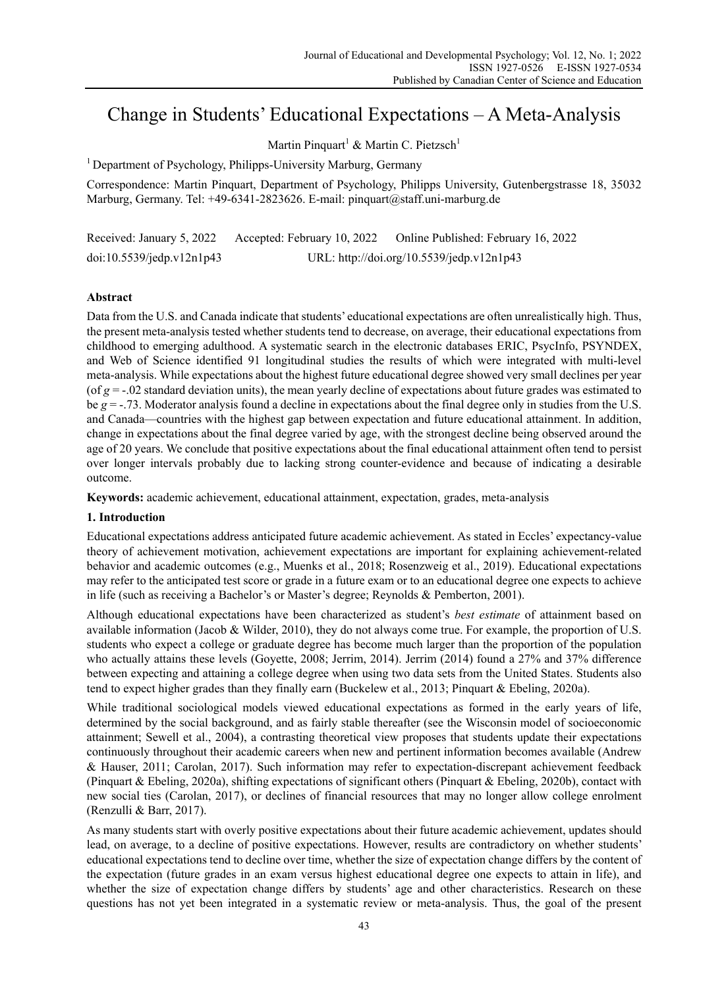# Change in Students' Educational Expectations – A Meta-Analysis

Martin Pinquart<sup>1</sup> & Martin C. Pietzsch<sup>1</sup>

<sup>1</sup> Department of Psychology, Philipps-University Marburg, Germany

Correspondence: Martin Pinquart, Department of Psychology, Philipps University, Gutenbergstrasse 18, 35032 Marburg, Germany. Tel: +49-6341-2823626. E-mail: pinquart@staff.uni-marburg.de

Received: January 5, 2022 Accepted: February 10, 2022 Online Published: February 16, 2022 doi:10.5539/jedp.v12n1p43 URL: http://doi.org/10.5539/jedp.v12n1p43

## **Abstract**

Data from the U.S. and Canada indicate that students' educational expectations are often unrealistically high. Thus, the present meta-analysis tested whether students tend to decrease, on average, their educational expectations from childhood to emerging adulthood. A systematic search in the electronic databases ERIC, PsycInfo, PSYNDEX, and Web of Science identified 91 longitudinal studies the results of which were integrated with multi-level meta-analysis. While expectations about the highest future educational degree showed very small declines per year (of *g* = -.02 standard deviation units), the mean yearly decline of expectations about future grades was estimated to be *g* = -.73. Moderator analysis found a decline in expectations about the final degree only in studies from the U.S. and Canada—countries with the highest gap between expectation and future educational attainment. In addition, change in expectations about the final degree varied by age, with the strongest decline being observed around the age of 20 years. We conclude that positive expectations about the final educational attainment often tend to persist over longer intervals probably due to lacking strong counter-evidence and because of indicating a desirable outcome.

**Keywords:** academic achievement, educational attainment, expectation, grades, meta-analysis

## **1. Introduction**

Educational expectations address anticipated future academic achievement. As stated in Eccles' expectancy-value theory of achievement motivation, achievement expectations are important for explaining achievement-related behavior and academic outcomes (e.g., Muenks et al., 2018; Rosenzweig et al., 2019). Educational expectations may refer to the anticipated test score or grade in a future exam or to an educational degree one expects to achieve in life (such as receiving a Bachelor's or Master's degree; Reynolds & Pemberton, 2001).

Although educational expectations have been characterized as student's *best estimate* of attainment based on available information (Jacob & Wilder, 2010), they do not always come true. For example, the proportion of U.S. students who expect a college or graduate degree has become much larger than the proportion of the population who actually attains these levels (Goyette, 2008; Jerrim, 2014). Jerrim (2014) found a 27% and 37% difference between expecting and attaining a college degree when using two data sets from the United States. Students also tend to expect higher grades than they finally earn (Buckelew et al., 2013; Pinquart & Ebeling, 2020a).

While traditional sociological models viewed educational expectations as formed in the early years of life, determined by the social background, and as fairly stable thereafter (see the Wisconsin model of socioeconomic attainment; Sewell et al., 2004), a contrasting theoretical view proposes that students update their expectations continuously throughout their academic careers when new and pertinent information becomes available (Andrew & Hauser, 2011; Carolan, 2017). Such information may refer to expectation-discrepant achievement feedback (Pinquart & Ebeling, 2020a), shifting expectations of significant others (Pinquart & Ebeling, 2020b), contact with new social ties (Carolan, 2017), or declines of financial resources that may no longer allow college enrolment (Renzulli & Barr, 2017).

As many students start with overly positive expectations about their future academic achievement, updates should lead, on average, to a decline of positive expectations. However, results are contradictory on whether students' educational expectations tend to decline over time, whether the size of expectation change differs by the content of the expectation (future grades in an exam versus highest educational degree one expects to attain in life), and whether the size of expectation change differs by students' age and other characteristics. Research on these questions has not yet been integrated in a systematic review or meta-analysis. Thus, the goal of the present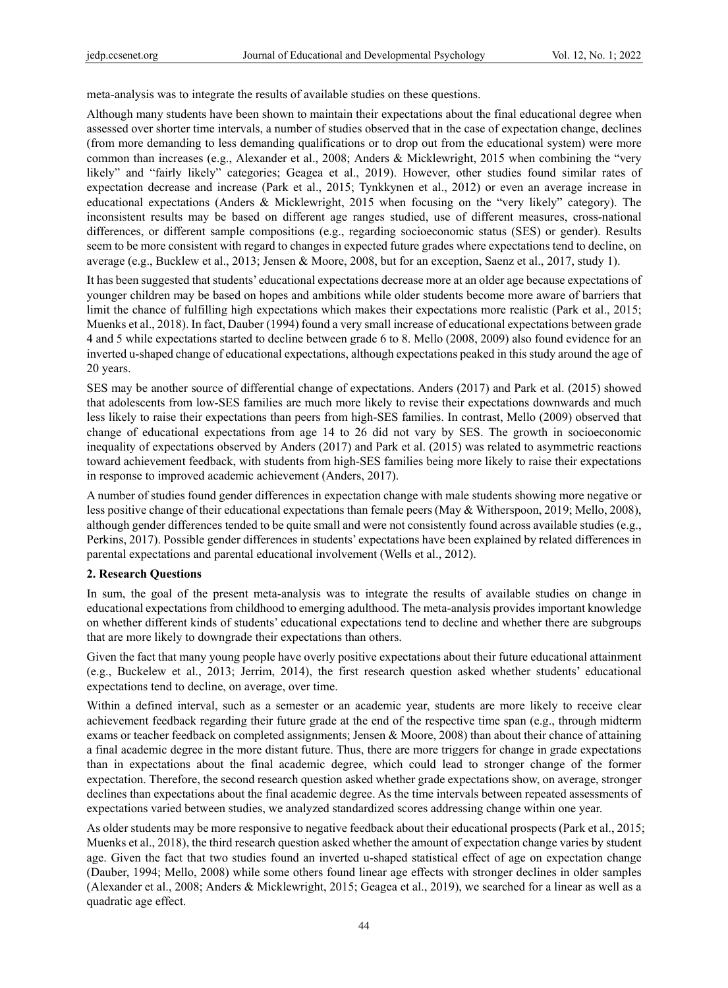meta-analysis was to integrate the results of available studies on these questions.

Although many students have been shown to maintain their expectations about the final educational degree when assessed over shorter time intervals, a number of studies observed that in the case of expectation change, declines (from more demanding to less demanding qualifications or to drop out from the educational system) were more common than increases (e.g., Alexander et al., 2008; Anders & Micklewright, 2015 when combining the "very likely" and "fairly likely" categories; Geagea et al., 2019). However, other studies found similar rates of expectation decrease and increase (Park et al., 2015; Tynkkynen et al., 2012) or even an average increase in educational expectations (Anders & Micklewright, 2015 when focusing on the "very likely" category). The inconsistent results may be based on different age ranges studied, use of different measures, cross-national differences, or different sample compositions (e.g., regarding socioeconomic status (SES) or gender). Results seem to be more consistent with regard to changes in expected future grades where expectations tend to decline, on average (e.g., Bucklew et al., 2013; Jensen & Moore, 2008, but for an exception, Saenz et al., 2017, study 1).

It has been suggested that students' educational expectations decrease more at an older age because expectations of younger children may be based on hopes and ambitions while older students become more aware of barriers that limit the chance of fulfilling high expectations which makes their expectations more realistic (Park et al., 2015; Muenks et al., 2018). In fact, Dauber (1994) found a very small increase of educational expectations between grade 4 and 5 while expectations started to decline between grade 6 to 8. Mello (2008, 2009) also found evidence for an inverted u-shaped change of educational expectations, although expectations peaked in this study around the age of 20 years.

SES may be another source of differential change of expectations. Anders (2017) and Park et al. (2015) showed that adolescents from low-SES families are much more likely to revise their expectations downwards and much less likely to raise their expectations than peers from high-SES families. In contrast, Mello (2009) observed that change of educational expectations from age 14 to 26 did not vary by SES. The growth in socioeconomic inequality of expectations observed by Anders (2017) and Park et al. (2015) was related to asymmetric reactions toward achievement feedback, with students from high-SES families being more likely to raise their expectations in response to improved academic achievement (Anders, 2017).

A number of studies found gender differences in expectation change with male students showing more negative or less positive change of their educational expectations than female peers (May & Witherspoon, 2019; Mello, 2008), although gender differences tended to be quite small and were not consistently found across available studies (e.g., Perkins, 2017). Possible gender differences in students' expectations have been explained by related differences in parental expectations and parental educational involvement (Wells et al., 2012).

#### **2. Research Questions**

In sum, the goal of the present meta-analysis was to integrate the results of available studies on change in educational expectations from childhood to emerging adulthood. The meta-analysis provides important knowledge on whether different kinds of students' educational expectations tend to decline and whether there are subgroups that are more likely to downgrade their expectations than others.

Given the fact that many young people have overly positive expectations about their future educational attainment (e.g., Buckelew et al., 2013; Jerrim, 2014), the first research question asked whether students' educational expectations tend to decline, on average, over time.

Within a defined interval, such as a semester or an academic year, students are more likely to receive clear achievement feedback regarding their future grade at the end of the respective time span (e.g., through midterm exams or teacher feedback on completed assignments; Jensen & Moore, 2008) than about their chance of attaining a final academic degree in the more distant future. Thus, there are more triggers for change in grade expectations than in expectations about the final academic degree, which could lead to stronger change of the former expectation. Therefore, the second research question asked whether grade expectations show, on average, stronger declines than expectations about the final academic degree. As the time intervals between repeated assessments of expectations varied between studies, we analyzed standardized scores addressing change within one year.

As older students may be more responsive to negative feedback about their educational prospects (Park et al., 2015; Muenks et al., 2018), the third research question asked whether the amount of expectation change varies by student age. Given the fact that two studies found an inverted u-shaped statistical effect of age on expectation change (Dauber, 1994; Mello, 2008) while some others found linear age effects with stronger declines in older samples (Alexander et al., 2008; Anders & Micklewright, 2015; Geagea et al., 2019), we searched for a linear as well as a quadratic age effect.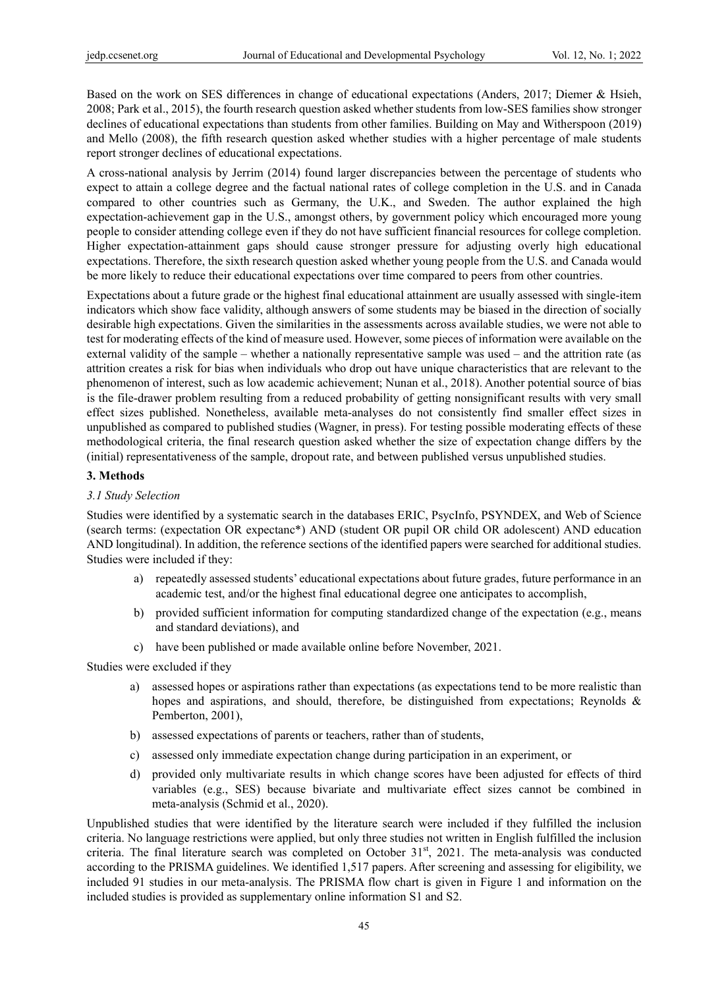Based on the work on SES differences in change of educational expectations (Anders, 2017; Diemer & Hsieh, 2008; Park et al., 2015), the fourth research question asked whether students from low-SES families show stronger declines of educational expectations than students from other families. Building on May and Witherspoon (2019) and Mello (2008), the fifth research question asked whether studies with a higher percentage of male students report stronger declines of educational expectations.

A cross-national analysis by Jerrim (2014) found larger discrepancies between the percentage of students who expect to attain a college degree and the factual national rates of college completion in the U.S. and in Canada compared to other countries such as Germany, the U.K., and Sweden. The author explained the high expectation-achievement gap in the U.S., amongst others, by government policy which encouraged more young people to consider attending college even if they do not have sufficient financial resources for college completion. Higher expectation-attainment gaps should cause stronger pressure for adjusting overly high educational expectations. Therefore, the sixth research question asked whether young people from the U.S. and Canada would be more likely to reduce their educational expectations over time compared to peers from other countries.

Expectations about a future grade or the highest final educational attainment are usually assessed with single-item indicators which show face validity, although answers of some students may be biased in the direction of socially desirable high expectations. Given the similarities in the assessments across available studies, we were not able to test for moderating effects of the kind of measure used. However, some pieces of information were available on the external validity of the sample – whether a nationally representative sample was used – and the attrition rate (as attrition creates a risk for bias when individuals who drop out have unique characteristics that are relevant to the phenomenon of interest, such as low academic achievement; Nunan et al., 2018). Another potential source of bias is the file-drawer problem resulting from a reduced probability of getting nonsignificant results with very small effect sizes published. Nonetheless, available meta-analyses do not consistently find smaller effect sizes in unpublished as compared to published studies (Wagner, in press). For testing possible moderating effects of these methodological criteria, the final research question asked whether the size of expectation change differs by the (initial) representativeness of the sample, dropout rate, and between published versus unpublished studies.

#### **3. Methods**

#### *3.1 Study Selection*

Studies were identified by a systematic search in the databases ERIC, PsycInfo, PSYNDEX, and Web of Science (search terms: (expectation OR expectanc\*) AND (student OR pupil OR child OR adolescent) AND education AND longitudinal). In addition, the reference sections of the identified papers were searched for additional studies. Studies were included if they:

- a) repeatedly assessed students' educational expectations about future grades, future performance in an academic test, and/or the highest final educational degree one anticipates to accomplish,
- b) provided sufficient information for computing standardized change of the expectation (e.g., means and standard deviations), and
- c) have been published or made available online before November, 2021.

Studies were excluded if they

- a) assessed hopes or aspirations rather than expectations (as expectations tend to be more realistic than hopes and aspirations, and should, therefore, be distinguished from expectations; Reynolds & Pemberton, 2001),
- b) assessed expectations of parents or teachers, rather than of students,
- c) assessed only immediate expectation change during participation in an experiment, or
- d) provided only multivariate results in which change scores have been adjusted for effects of third variables (e.g., SES) because bivariate and multivariate effect sizes cannot be combined in meta-analysis (Schmid et al., 2020).

Unpublished studies that were identified by the literature search were included if they fulfilled the inclusion criteria. No language restrictions were applied, but only three studies not written in English fulfilled the inclusion criteria. The final literature search was completed on October  $31<sup>st</sup>$ , 2021. The meta-analysis was conducted according to the PRISMA guidelines. We identified 1,517 papers. After screening and assessing for eligibility, we included 91 studies in our meta-analysis. The PRISMA flow chart is given in Figure 1 and information on the included studies is provided as supplementary online information S1 and S2.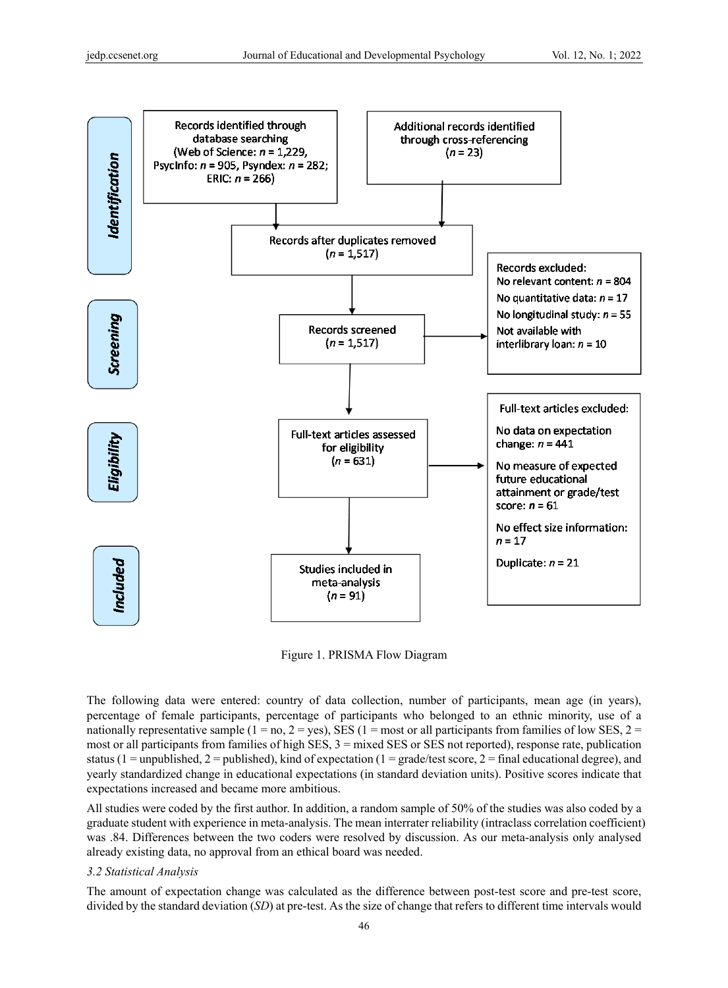

Figure 1. PRISMA Flow Diagram

The following data were entered: country of data collection, number of participants, mean age (in years), percentage of female participants, percentage of participants who belonged to an ethnic minority, use of a nationally representative sample (1 = no, 2 = yes), SES (1 = most or all participants from families of low SES, 2 = most or all participants from families of high SES, 3 = mixed SES or SES not reported), response rate, publication status (1 = unpublished, 2 = published), kind of expectation (1 = grade/test score, 2 = final educational degree), and yearly standardized change in educational expectations (in standard deviation units). Positive scores indicate that expectations increased and became more ambitious.

All studies were coded by the first author. In addition, a random sample of 50% of the studies was also coded by a graduate student with experience in meta-analysis. The mean interrater reliability (intraclass correlation coefficient) was .84. Differences between the two coders were resolved by discussion. As our meta-analysis only analysed already existing data, no approval from an ethical board was needed.

## *3.2 Statistical Analysis*

The amount of expectation change was calculated as the difference between post-test score and pre-test score, divided by the standard deviation (*SD*) at pre-test. As the size of change that refers to different time intervals would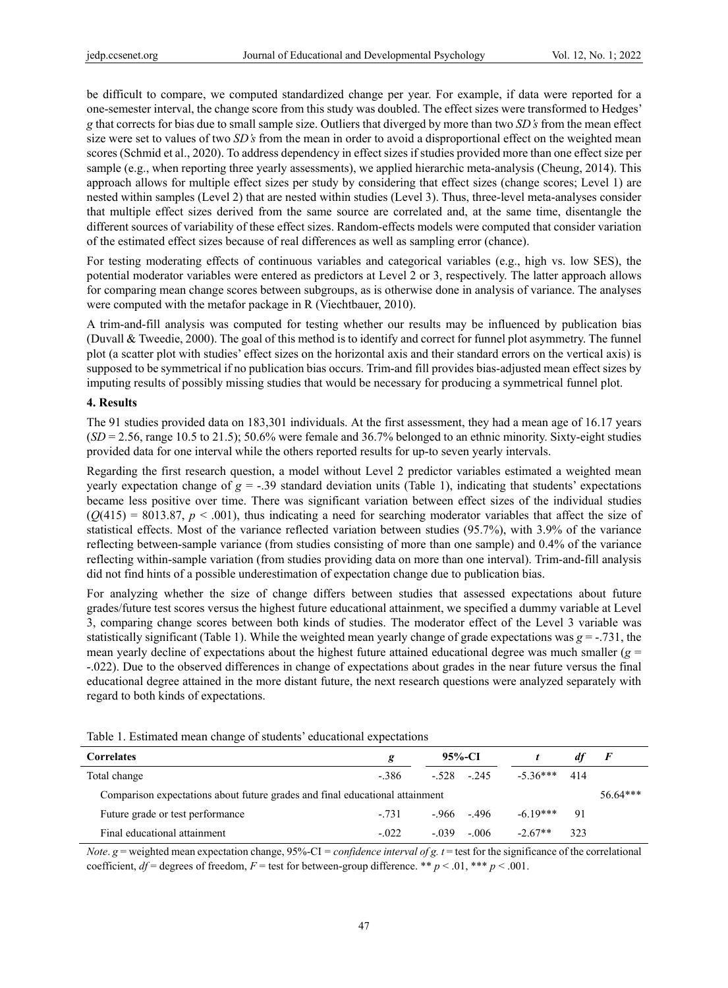be difficult to compare, we computed standardized change per year. For example, if data were reported for a one-semester interval, the change score from this study was doubled. The effect sizes were transformed to Hedges' *g* that corrects for bias due to small sample size. Outliers that diverged by more than two *SD's* from the mean effect size were set to values of two *SD's* from the mean in order to avoid a disproportional effect on the weighted mean scores (Schmid et al., 2020). To address dependency in effect sizes if studies provided more than one effect size per sample (e.g., when reporting three yearly assessments), we applied hierarchic meta-analysis (Cheung, 2014). This approach allows for multiple effect sizes per study by considering that effect sizes (change scores; Level 1) are nested within samples (Level 2) that are nested within studies (Level 3). Thus, three-level meta-analyses consider that multiple effect sizes derived from the same source are correlated and, at the same time, disentangle the different sources of variability of these effect sizes. Random-effects models were computed that consider variation of the estimated effect sizes because of real differences as well as sampling error (chance).

For testing moderating effects of continuous variables and categorical variables (e.g., high vs. low SES), the potential moderator variables were entered as predictors at Level 2 or 3, respectively. The latter approach allows for comparing mean change scores between subgroups, as is otherwise done in analysis of variance. The analyses were computed with the metafor package in R (Viechtbauer, 2010).

A trim-and-fill analysis was computed for testing whether our results may be influenced by publication bias (Duvall & Tweedie, 2000). The goal of this method is to identify and correct for funnel plot asymmetry. The funnel plot (a scatter plot with studies' effect sizes on the horizontal axis and their standard errors on the vertical axis) is supposed to be symmetrical if no publication bias occurs. Trim-and fill provides bias-adjusted mean effect sizes by imputing results of possibly missing studies that would be necessary for producing a symmetrical funnel plot.

## **4. Results**

The 91 studies provided data on 183,301 individuals. At the first assessment, they had a mean age of 16.17 years (*SD* = 2.56, range 10.5 to 21.5); 50.6% were female and 36.7% belonged to an ethnic minority. Sixty-eight studies provided data for one interval while the others reported results for up-to seven yearly intervals.

Regarding the first research question, a model without Level 2 predictor variables estimated a weighted mean yearly expectation change of  $g = -.39$  standard deviation units (Table 1), indicating that students' expectations became less positive over time. There was significant variation between effect sizes of the individual studies  $(Q(415) = 8013.87, p < .001)$ , thus indicating a need for searching moderator variables that affect the size of statistical effects. Most of the variance reflected variation between studies (95.7%), with 3.9% of the variance reflecting between-sample variance (from studies consisting of more than one sample) and 0.4% of the variance reflecting within-sample variation (from studies providing data on more than one interval). Trim-and-fill analysis did not find hints of a possible underestimation of expectation change due to publication bias.

For analyzing whether the size of change differs between studies that assessed expectations about future grades/future test scores versus the highest future educational attainment, we specified a dummy variable at Level 3, comparing change scores between both kinds of studies. The moderator effect of the Level 3 variable was statistically significant (Table 1). While the weighted mean yearly change of grade expectations was  $g = -0.731$ , the mean yearly decline of expectations about the highest future attained educational degree was much smaller (*g* = -.022). Due to the observed differences in change of expectations about grades in the near future versus the final educational degree attained in the more distant future, the next research questions were analyzed separately with regard to both kinds of expectations.

| Twore it Ebenharde mean enange of bradents' cuacational expectations         |         |              |              |                |     |                |  |  |  |
|------------------------------------------------------------------------------|---------|--------------|--------------|----------------|-----|----------------|--|--|--|
| <b>Correlates</b>                                                            | g       | 95%-CI       |              |                | dt  | $\overline{F}$ |  |  |  |
| Total change                                                                 | - 386   | $-.528-.245$ |              | $-5.36***$ 414 |     |                |  |  |  |
| Comparison expectations about future grades and final educational attainment |         |              |              |                |     | $56.64***$     |  |  |  |
| Future grade or test performance                                             | $-731$  |              | $-.966-.496$ | $-6.19***$     | 91  |                |  |  |  |
| Final educational attainment                                                 | $-.022$ | $-.039$      | $-0.06$      | $-2.67**$      | 323 |                |  |  |  |

Table 1. Estimated mean change of students' educational expectations

*Note*. *g* = weighted mean expectation change, 95%-CI = *confidence interval of g. t* = test for the significance of the correlational coefficient,  $df =$  degrees of freedom,  $F =$  test for between-group difference. \*\*  $p < .01$ , \*\*\*  $p < .001$ .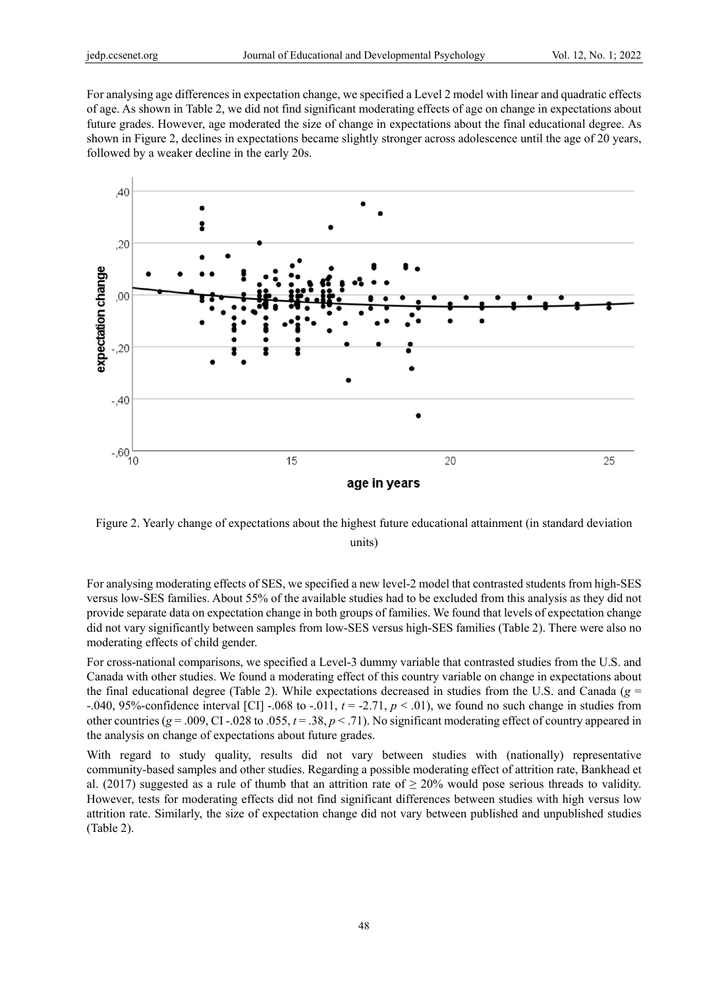For analysing age differences in expectation change, we specified a Level 2 model with linear and quadratic effects of age. As shown in Table 2, we did not find significant moderating effects of age on change in expectations about future grades. However, age moderated the size of change in expectations about the final educational degree. As shown in Figure 2, declines in expectations became slightly stronger across adolescence until the age of 20 years, followed by a weaker decline in the early 20s.



Figure 2. Yearly change of expectations about the highest future educational attainment (in standard deviation units)

For analysing moderating effects of SES, we specified a new level-2 model that contrasted students from high-SES versus low-SES families. About 55% of the available studies had to be excluded from this analysis as they did not provide separate data on expectation change in both groups of families. We found that levels of expectation change did not vary significantly between samples from low-SES versus high-SES families (Table 2). There were also no moderating effects of child gender.

For cross-national comparisons, we specified a Level-3 dummy variable that contrasted studies from the U.S. and Canada with other studies. We found a moderating effect of this country variable on change in expectations about the final educational degree (Table 2). While expectations decreased in studies from the U.S. and Canada (*g* = -.040, 95%-confidence interval [CI] -.068 to -.011,  $t = -2.71$ ,  $p < .01$ ), we found no such change in studies from other countries ( $g = .009$ , CI -.028 to .055,  $t = .38$ ,  $p < .71$ ). No significant moderating effect of country appeared in the analysis on change of expectations about future grades.

With regard to study quality, results did not vary between studies with (nationally) representative community-based samples and other studies. Regarding a possible moderating effect of attrition rate, Bankhead et al. (2017) suggested as a rule of thumb that an attrition rate of  $\geq$  20% would pose serious threads to validity. However, tests for moderating effects did not find significant differences between studies with high versus low attrition rate. Similarly, the size of expectation change did not vary between published and unpublished studies (Table 2).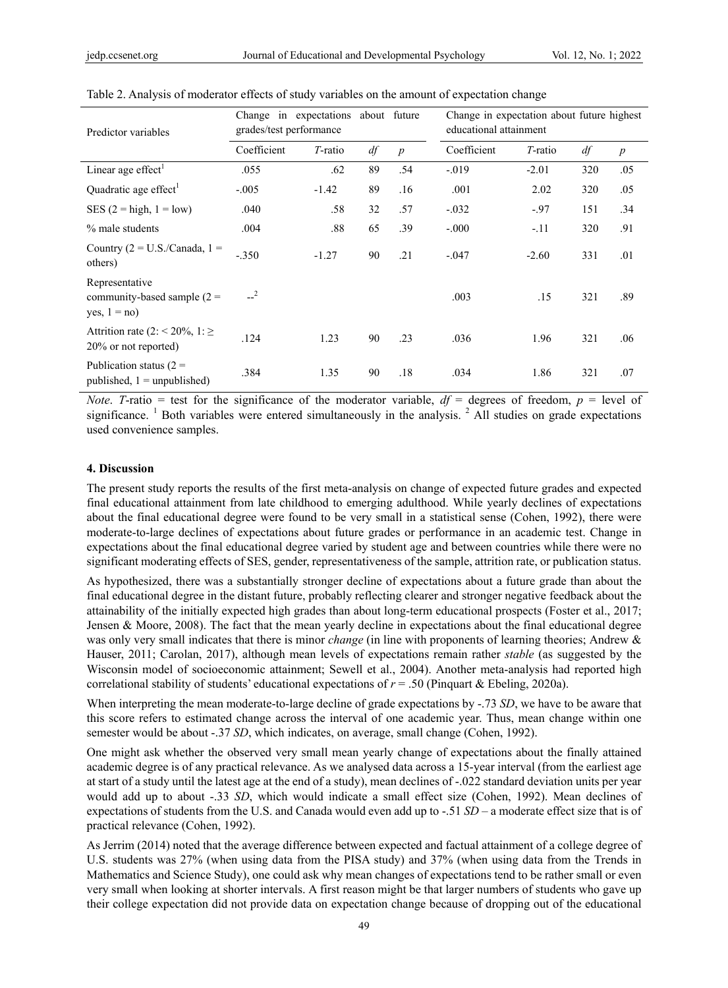| Predictor variables                                                | Change in expectations about future<br>grades/test performance |         |             |         | Change in expectation about future highest<br>educational attainment |                  |     |     |
|--------------------------------------------------------------------|----------------------------------------------------------------|---------|-------------|---------|----------------------------------------------------------------------|------------------|-----|-----|
|                                                                    | Coefficient<br>df<br>T-ratio<br>$\boldsymbol{p}$               |         | Coefficient | T-ratio | df                                                                   | $\boldsymbol{p}$ |     |     |
| Linear age effect <sup>1</sup>                                     | .055                                                           | .62     | 89          | .54     | $-.019$                                                              | $-2.01$          | 320 | .05 |
| Quadratic age effect <sup>1</sup>                                  | $-.005$                                                        | $-1.42$ | 89          | .16     | .001                                                                 | 2.02             | 320 | .05 |
| SES $(2 = high, 1 = low)$                                          | .040                                                           | .58     | 32          | .57     | $-.032$                                                              | $-.97$           | 151 | .34 |
| % male students                                                    | .004                                                           | .88     | 65          | .39     | $-.000$                                                              | $-.11$           | 320 | .91 |
| Country $(2 = U.S./Canada, 1 =$<br>others)                         | $-.350$                                                        | $-1.27$ | 90          | .21     | $-.047$                                                              | $-2.60$          | 331 | .01 |
| Representative<br>community-based sample $(2 =$<br>yes, $1 = no$ ) | $-2$                                                           |         |             |         | .003                                                                 | .15              | 321 | .89 |
| Attrition rate (2: < 20%, 1: $\ge$<br>20% or not reported)         | .124                                                           | 1.23    | 90          | .23     | .036                                                                 | 1.96             | 321 | .06 |
| Publication status $(2 =$<br>published, $1 =$ unpublished)         | .384                                                           | 1.35    | 90          | .18     | .034                                                                 | 1.86             | 321 | .07 |

Table 2. Analysis of moderator effects of study variables on the amount of expectation change

*Note. T*-ratio = test for the significance of the moderator variable,  $df =$  degrees of freedom,  $p =$  level of significance. <sup>1</sup> Both variables were entered simultaneously in the analysis. <sup>2</sup> All studies on grade expectations used convenience samples.

#### **4. Discussion**

The present study reports the results of the first meta-analysis on change of expected future grades and expected final educational attainment from late childhood to emerging adulthood. While yearly declines of expectations about the final educational degree were found to be very small in a statistical sense (Cohen, 1992), there were moderate-to-large declines of expectations about future grades or performance in an academic test. Change in expectations about the final educational degree varied by student age and between countries while there were no significant moderating effects of SES, gender, representativeness of the sample, attrition rate, or publication status.

As hypothesized, there was a substantially stronger decline of expectations about a future grade than about the final educational degree in the distant future, probably reflecting clearer and stronger negative feedback about the attainability of the initially expected high grades than about long-term educational prospects (Foster et al., 2017; Jensen & Moore, 2008). The fact that the mean yearly decline in expectations about the final educational degree was only very small indicates that there is minor *change* (in line with proponents of learning theories; Andrew & Hauser, 2011; Carolan, 2017), although mean levels of expectations remain rather *stable* (as suggested by the Wisconsin model of socioeconomic attainment; Sewell et al., 2004). Another meta-analysis had reported high correlational stability of students' educational expectations of *r* = .50 (Pinquart & Ebeling, 2020a).

When interpreting the mean moderate-to-large decline of grade expectations by -.73 *SD*, we have to be aware that this score refers to estimated change across the interval of one academic year. Thus, mean change within one semester would be about -.37 *SD*, which indicates, on average, small change (Cohen, 1992).

One might ask whether the observed very small mean yearly change of expectations about the finally attained academic degree is of any practical relevance. As we analysed data across a 15-year interval (from the earliest age at start of a study until the latest age at the end of a study), mean declines of -.022 standard deviation units per year would add up to about -.33 *SD*, which would indicate a small effect size (Cohen, 1992). Mean declines of expectations of students from the U.S. and Canada would even add up to -.51 *SD* – a moderate effect size that is of practical relevance (Cohen, 1992).

As Jerrim (2014) noted that the average difference between expected and factual attainment of a college degree of U.S. students was 27% (when using data from the PISA study) and 37% (when using data from the Trends in Mathematics and Science Study), one could ask why mean changes of expectations tend to be rather small or even very small when looking at shorter intervals. A first reason might be that larger numbers of students who gave up their college expectation did not provide data on expectation change because of dropping out of the educational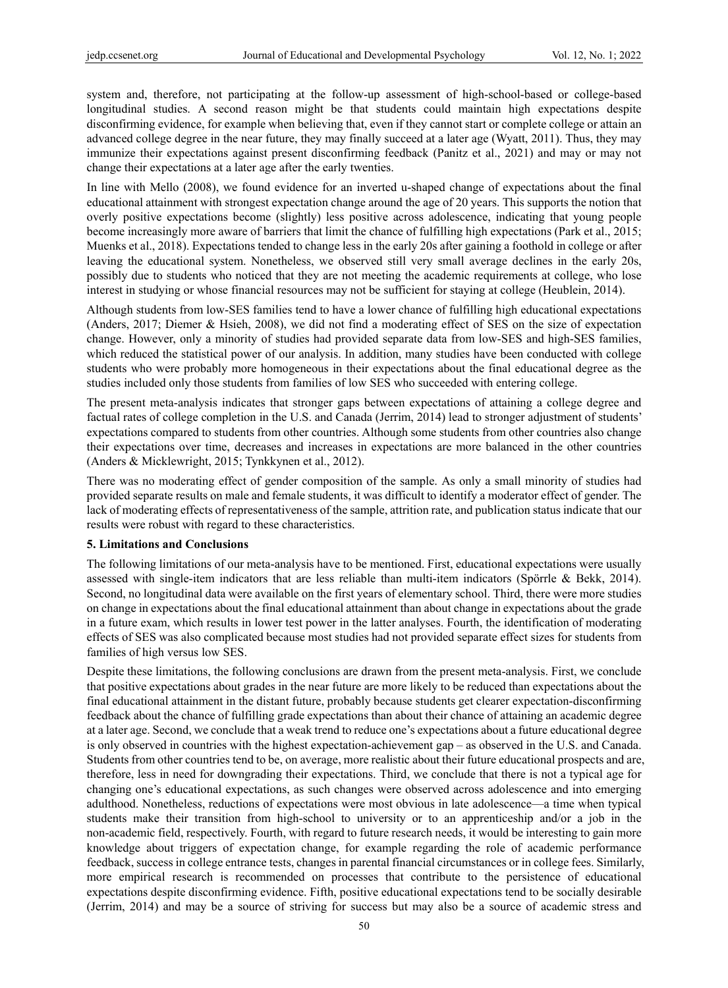system and, therefore, not participating at the follow-up assessment of high-school-based or college-based longitudinal studies. A second reason might be that students could maintain high expectations despite disconfirming evidence, for example when believing that, even if they cannot start or complete college or attain an advanced college degree in the near future, they may finally succeed at a later age (Wyatt, 2011). Thus, they may immunize their expectations against present disconfirming feedback (Panitz et al., 2021) and may or may not change their expectations at a later age after the early twenties.

In line with Mello (2008), we found evidence for an inverted u-shaped change of expectations about the final educational attainment with strongest expectation change around the age of 20 years. This supports the notion that overly positive expectations become (slightly) less positive across adolescence, indicating that young people become increasingly more aware of barriers that limit the chance of fulfilling high expectations (Park et al., 2015; Muenks et al., 2018). Expectations tended to change less in the early 20s after gaining a foothold in college or after leaving the educational system. Nonetheless, we observed still very small average declines in the early 20s, possibly due to students who noticed that they are not meeting the academic requirements at college, who lose interest in studying or whose financial resources may not be sufficient for staying at college (Heublein, 2014).

Although students from low-SES families tend to have a lower chance of fulfilling high educational expectations (Anders, 2017; Diemer & Hsieh, 2008), we did not find a moderating effect of SES on the size of expectation change. However, only a minority of studies had provided separate data from low-SES and high-SES families, which reduced the statistical power of our analysis. In addition, many studies have been conducted with college students who were probably more homogeneous in their expectations about the final educational degree as the studies included only those students from families of low SES who succeeded with entering college.

The present meta-analysis indicates that stronger gaps between expectations of attaining a college degree and factual rates of college completion in the U.S. and Canada (Jerrim, 2014) lead to stronger adjustment of students' expectations compared to students from other countries. Although some students from other countries also change their expectations over time, decreases and increases in expectations are more balanced in the other countries (Anders & Micklewright, 2015; Tynkkynen et al., 2012).

There was no moderating effect of gender composition of the sample. As only a small minority of studies had provided separate results on male and female students, it was difficult to identify a moderator effect of gender. The lack of moderating effects of representativeness of the sample, attrition rate, and publication status indicate that our results were robust with regard to these characteristics.

#### **5. Limitations and Conclusions**

The following limitations of our meta-analysis have to be mentioned. First, educational expectations were usually assessed with single-item indicators that are less reliable than multi-item indicators (Spörrle & Bekk, 2014). Second, no longitudinal data were available on the first years of elementary school. Third, there were more studies on change in expectations about the final educational attainment than about change in expectations about the grade in a future exam, which results in lower test power in the latter analyses. Fourth, the identification of moderating effects of SES was also complicated because most studies had not provided separate effect sizes for students from families of high versus low SES.

Despite these limitations, the following conclusions are drawn from the present meta-analysis. First, we conclude that positive expectations about grades in the near future are more likely to be reduced than expectations about the final educational attainment in the distant future, probably because students get clearer expectation-disconfirming feedback about the chance of fulfilling grade expectations than about their chance of attaining an academic degree at a later age. Second, we conclude that a weak trend to reduce one's expectations about a future educational degree is only observed in countries with the highest expectation-achievement gap – as observed in the U.S. and Canada. Students from other countries tend to be, on average, more realistic about their future educational prospects and are, therefore, less in need for downgrading their expectations. Third, we conclude that there is not a typical age for changing one's educational expectations, as such changes were observed across adolescence and into emerging adulthood. Nonetheless, reductions of expectations were most obvious in late adolescence—a time when typical students make their transition from high-school to university or to an apprenticeship and/or a job in the non-academic field, respectively. Fourth, with regard to future research needs, it would be interesting to gain more knowledge about triggers of expectation change, for example regarding the role of academic performance feedback, success in college entrance tests, changes in parental financial circumstances or in college fees. Similarly, more empirical research is recommended on processes that contribute to the persistence of educational expectations despite disconfirming evidence. Fifth, positive educational expectations tend to be socially desirable (Jerrim, 2014) and may be a source of striving for success but may also be a source of academic stress and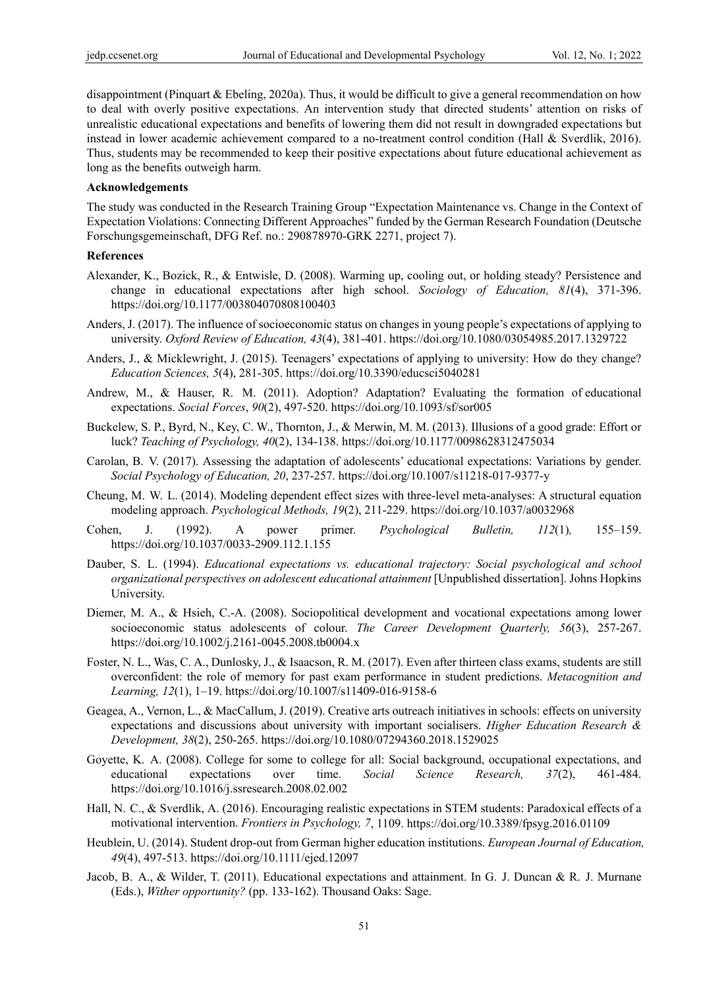disappointment (Pinquart & Ebeling, 2020a). Thus, it would be difficult to give a general recommendation on how to deal with overly positive expectations. An intervention study that directed students' attention on risks of unrealistic educational expectations and benefits of lowering them did not result in downgraded expectations but instead in lower academic achievement compared to a no-treatment control condition (Hall & Sverdlik, 2016). Thus, students may be recommended to keep their positive expectations about future educational achievement as long as the benefits outweigh harm.

#### **Acknowledgements**

The study was conducted in the Research Training Group "Expectation Maintenance vs. Change in the Context of Expectation Violations: Connecting Different Approaches" funded by the German Research Foundation (Deutsche Forschungsgemeinschaft, DFG Ref. no.: 290878970-GRK 2271, project 7).

#### **References**

- Alexander, K., Bozick, R., & Entwisle, D. (2008). Warming up, cooling out, or holding steady? Persistence and change in educational expectations after high school. *Sociology of Education, 81*(4), 371-396. https://doi.org/10.1177/003804070808100403
- Anders, J. (2017). The influence of socioeconomic status on changes in young people's expectations of applying to university. *Oxford Review of Education, 43*(4), 381-401. https://doi.org/10.1080/03054985.2017.1329722
- Anders, J., & Micklewright, J. (2015). Teenagers' expectations of applying to university: How do they change? *Education Sciences, 5*(4), 281-305. https://doi.org/10.3390/educsci5040281
- Andrew, M., & Hauser, R. M. (2011). Adoption? Adaptation? Evaluating the formation of educational expectations. *Social Forces*, *90*(2), 497-520. https://doi.org/10.1093/sf/sor005
- Buckelew, S. P., Byrd, N., Key, C. W., Thornton, J., & Merwin, M. M. (2013). Illusions of a good grade: Effort or luck? *Teaching of Psychology, 40*(2), 134-138. https://doi.org/10.1177/0098628312475034
- Carolan, B. V. (2017). Assessing the adaptation of adolescents' educational expectations: Variations by gender. *Social Psychology of Education, 20*, 237-257. https://doi.org/10.1007/s11218-017-9377-y
- Cheung, M. W. L. (2014). Modeling dependent effect sizes with three-level meta-analyses: A structural equation modeling approach. *Psychological Methods, 19*(2), 211-229. https://doi.org/10.1037/a0032968
- Cohen, J. (1992). A power primer. *Psychological Bulletin, 112*(1)*,* 155–159. https://doi.org/10.1037/0033-2909.112.1.155
- Dauber, S. L. (1994). *Educational expectations vs. educational trajectory: Social psychological and school organizational perspectives on adolescent educational attainment* [Unpublished dissertation]. Johns Hopkins University.
- Diemer, M. A., & Hsieh, C.-A. (2008). Sociopolitical development and vocational expectations among lower socioeconomic status adolescents of colour. *The Career Development Quarterly, 56*(3), 257-267. https://doi.org/10.1002/j.2161-0045.2008.tb0004.x
- Foster, N. L., Was, C. A., Dunlosky, J., & Isaacson, R. M. (2017). Even after thirteen class exams, students are still overconfident: the role of memory for past exam performance in student predictions. *Metacognition and Learning, 12*(1), 1–19. https://doi.org/10.1007/s11409-016-9158-6
- Geagea, A., Vernon, L., & MacCallum, J. (2019). Creative arts outreach initiatives in schools: effects on university expectations and discussions about university with important socialisers. *Higher Education Research & Development, 38*(2), 250-265. https://doi.org/10.1080/07294360.2018.1529025
- Goyette, K. A. (2008). College for some to college for all: Social background, occupational expectations, and educational expectations over time. *Social Science Research, 37*(2), 461-484. https://doi.org/10.1016/j.ssresearch.2008.02.002
- Hall, N. C., & Sverdlik, A. (2016). Encouraging realistic expectations in STEM students: Paradoxical effects of a motivational intervention. *Frontiers in Psychology, 7*, 1109. https://doi.org/10.3389/fpsyg.2016.01109
- Heublein, U. (2014). Student drop-out from German higher education institutions. *European Journal of Education, 49*(4), 497-513. https://doi.org/10.1111/ejed.12097
- Jacob, B. A., & Wilder, T. (2011). Educational expectations and attainment. In G. J. Duncan & R. J. Murnane (Eds.), *Wither opportunity?* (pp. 133-162). Thousand Oaks: Sage.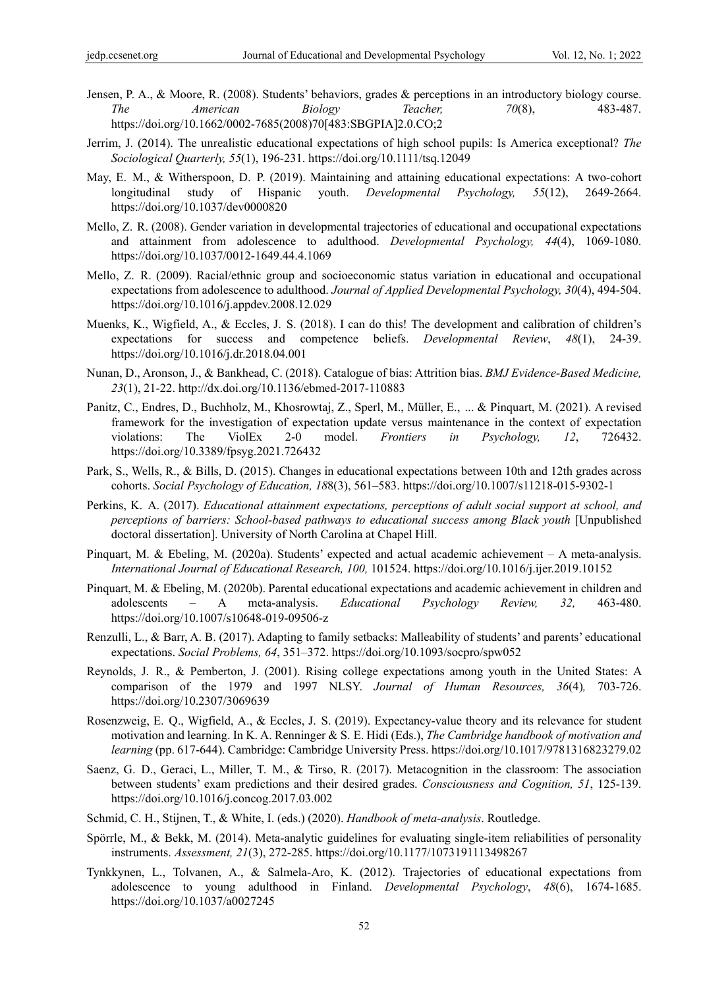- Jensen, P. A., & Moore, R. (2008). Students' behaviors, grades & perceptions in an introductory biology course. *The American Biology Teacher, 70*(8), 483-487. https://doi.org/10.1662/0002-7685(2008)70[483:SBGPIA]2.0.CO;2
- Jerrim, J. (2014). The unrealistic educational expectations of high school pupils: Is America exceptional? *The Sociological Quarterly, 55*(1), 196-231. https://doi.org/10.1111/tsq.12049
- May, E. M., & Witherspoon, D. P. (2019). Maintaining and attaining educational expectations: A two-cohort longitudinal study of Hispanic youth. *Developmental Psychology, 55*(12), 2649-2664. https://doi.org/10.1037/dev0000820
- Mello, Z. R. (2008). Gender variation in developmental trajectories of educational and occupational expectations and attainment from adolescence to adulthood. *Developmental Psychology, 44*(4), 1069-1080. https://doi.org/10.1037/0012-1649.44.4.1069
- Mello, Z. R. (2009). Racial/ethnic group and socioeconomic status variation in educational and occupational expectations from adolescence to adulthood. *Journal of Applied Developmental Psychology, 30*(4), 494-504. https://doi.org/10.1016/j.appdev.2008.12.029
- Muenks, K., Wigfield, A., & Eccles, J. S. (2018). I can do this! The development and calibration of children's expectations for success and competence beliefs. *Developmental Review*, *48*(1), 24-39. https://doi.org/10.1016/j.dr.2018.04.001
- Nunan, D., Aronson, J., & Bankhead, C. (2018). Catalogue of bias: Attrition bias. *BMJ Evidence-Based Medicine, 23*(1), 21-22. http://dx.doi.org/10.1136/ebmed-2017-110883
- Panitz, C., Endres, D., Buchholz, M., Khosrowtaj, Z., Sperl, M., Müller, E., ... & Pinquart, M. (2021). A revised framework for the investigation of expectation update versus maintenance in the context of expectation violations: The ViolEx 2-0 model. *Frontiers in Psychology, 12*, 726432. https://doi.org/10.3389/fpsyg.2021.726432
- Park, S., Wells, R., & Bills, D. (2015). Changes in educational expectations between 10th and 12th grades across cohorts. *Social Psychology of Education, 18*8(3), 561–583. https://doi.org/10.1007/s11218-015-9302-1
- Perkins, K. A. (2017). *Educational attainment expectations, perceptions of adult social support at school, and perceptions of barriers: School-based pathways to educational success among Black youth* [Unpublished doctoral dissertation]. University of North Carolina at Chapel Hill.
- Pinquart, M. & Ebeling, M. (2020a). Students' expected and actual academic achievement A meta-analysis. *International Journal of Educational Research, 100,* 101524. https://doi.org/10.1016/j.ijer.2019.10152
- Pinquart, M. & Ebeling, M. (2020b). Parental educational expectations and academic achievement in children and adolescents – A meta-analysis. *Educational Psychology Review, 32,* 463-480. https://doi.org/10.1007/s10648-019-09506-z
- Renzulli, L., & Barr, A. B. (2017). Adapting to family setbacks: Malleability of students' and parents' educational expectations. *Social Problems, 64*, 351–372. https://doi.org/10.1093/socpro/spw052
- Reynolds, J. R., & Pemberton, J. (2001). Rising college expectations among youth in the United States: A comparison of the 1979 and 1997 NLSY. *Journal of Human Resources, 36*(4)*,* 703-726. https://doi.org/10.2307/3069639
- Rosenzweig, E. Q., Wigfield, A., & Eccles, J. S. (2019). Expectancy-value theory and its relevance for student motivation and learning. In K. A. Renninger & S. E. Hidi (Eds.), *The Cambridge handbook of motivation and learning* (pp. 617-644). Cambridge: Cambridge University Press. https://doi.org/10.1017/9781316823279.02
- Saenz, G. D., Geraci, L., Miller, T. M., & Tirso, R. (2017). Metacognition in the classroom: The association between students' exam predictions and their desired grades. *Consciousness and Cognition, 51*, 125-139. https://doi.org/10.1016/j.concog.2017.03.002
- Schmid, C. H., Stijnen, T., & White, I. (eds.) (2020). *Handbook of meta-analysis*. Routledge.
- Spörrle, M., & Bekk, M. (2014). Meta-analytic guidelines for evaluating single-item reliabilities of personality instruments. *Assessment, 21*(3), 272-285. https://doi.org/10.1177/1073191113498267
- Tynkkynen, L., Tolvanen, A., & Salmela-Aro, K. (2012). Trajectories of educational expectations from adolescence to young adulthood in Finland. *Developmental Psychology*, *48*(6), 1674-1685. https://doi.org/10.1037/a0027245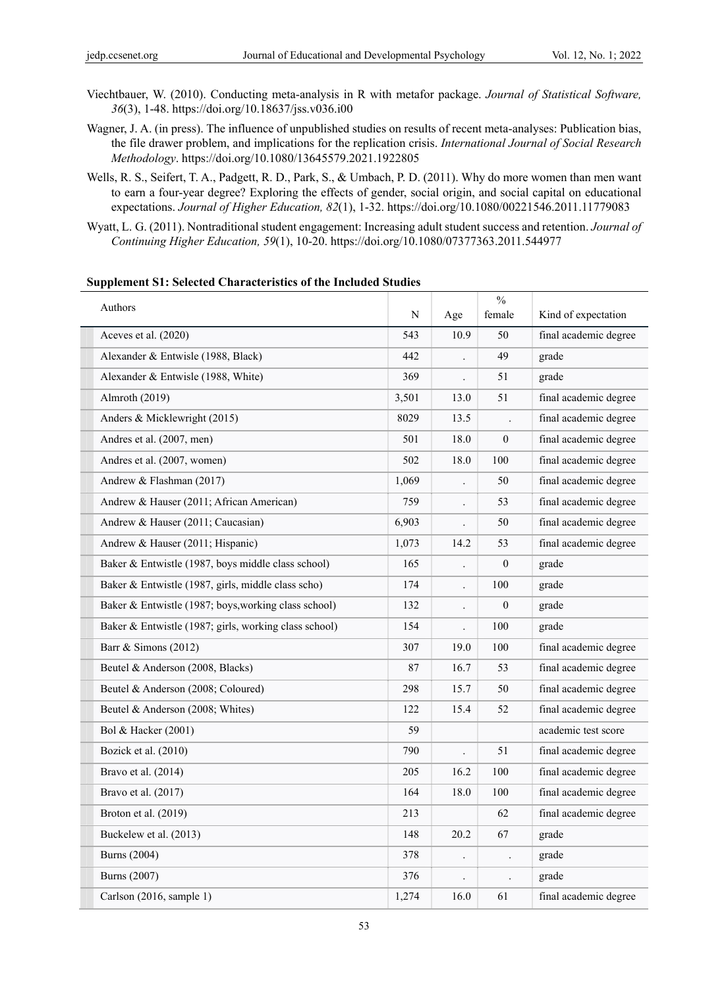- Viechtbauer, W. (2010). Conducting meta-analysis in R with metafor package. *Journal of Statistical Software, 36*(3), 1-48. https://doi.org/10.18637/jss.v036.i00
- Wagner, J. A. (in press). The influence of unpublished studies on results of recent meta-analyses: Publication bias, the file drawer problem, and implications for the replication crisis. *International Journal of Social Research Methodology*. https://doi.org/10.1080/13645579.2021.1922805
- Wells, R. S., Seifert, T. A., Padgett, R. D., Park, S., & Umbach, P. D. (2011). Why do more women than men want to earn a four-year degree? Exploring the effects of gender, social origin, and social capital on educational expectations. *Journal of Higher Education, 82*(1), 1-32. https://doi.org/10.1080/00221546.2011.11779083
- Wyatt, L. G. (2011). Nontraditional student engagement: Increasing adult student success and retention. *Journal of Continuing Higher Education, 59*(1), 10-20. https://doi.org/10.1080/07377363.2011.544977

| Authors                                               |       |                      | $\frac{0}{0}$    |                       |
|-------------------------------------------------------|-------|----------------------|------------------|-----------------------|
|                                                       | N     | Age                  | female           | Kind of expectation   |
| Aceves et al. (2020)                                  | 543   | 10.9                 | 50               | final academic degree |
| Alexander & Entwisle (1988, Black)                    | 442   |                      | 49               | grade                 |
| Alexander & Entwisle (1988, White)                    | 369   |                      | 51               | grade                 |
| Almroth (2019)                                        | 3,501 | 13.0                 | 51               | final academic degree |
| Anders & Micklewright (2015)                          | 8029  | 13.5                 |                  | final academic degree |
| Andres et al. (2007, men)                             | 501   | 18.0                 | 0                | final academic degree |
| Andres et al. (2007, women)                           | 502   | 18.0                 | 100              | final academic degree |
| Andrew & Flashman (2017)                              | 1,069 |                      | 50               | final academic degree |
| Andrew & Hauser (2011; African American)              | 759   | $\ddot{\phantom{0}}$ | 53               | final academic degree |
| Andrew & Hauser (2011; Caucasian)                     | 6,903 |                      | 50               | final academic degree |
| Andrew & Hauser (2011; Hispanic)                      | 1,073 | 14.2                 | 53               | final academic degree |
| Baker & Entwistle (1987, boys middle class school)    | 165   |                      | $\boldsymbol{0}$ | grade                 |
| Baker & Entwistle (1987, girls, middle class scho)    | 174   | $\ddot{\phantom{0}}$ | 100              | grade                 |
| Baker & Entwistle (1987; boys, working class school)  | 132   |                      | $\boldsymbol{0}$ | grade                 |
| Baker & Entwistle (1987; girls, working class school) | 154   |                      | 100              | grade                 |
| Barr & Simons (2012)                                  | 307   | 19.0                 | 100              | final academic degree |
| Beutel & Anderson (2008, Blacks)                      | 87    | 16.7                 | 53               | final academic degree |
| Beutel & Anderson (2008; Coloured)                    | 298   | 15.7                 | 50               | final academic degree |
| Beutel & Anderson (2008; Whites)                      | 122   | 15.4                 | 52               | final academic degree |
| Bol & Hacker (2001)                                   | 59    |                      |                  | academic test score   |
| Bozick et al. $(2010)$                                | 790   |                      | 51               | final academic degree |
| Bravo et al. (2014)                                   | 205   | 16.2                 | 100              | final academic degree |
| Bravo et al. $(2017)$                                 | 164   | 18.0                 | 100              | final academic degree |
| Broton et al. (2019)                                  | 213   |                      | 62               | final academic degree |
| Buckelew et al. (2013)                                | 148   | 20.2                 | 67               | grade                 |
| <b>Burns</b> (2004)                                   | 378   | $\ddot{\phantom{0}}$ |                  | grade                 |
| <b>Burns</b> (2007)                                   | 376   |                      |                  | grade                 |
| Carlson (2016, sample 1)                              | 1,274 | 16.0                 | 61               | final academic degree |

#### **Supplement S1: Selected Characteristics of the Included Studies**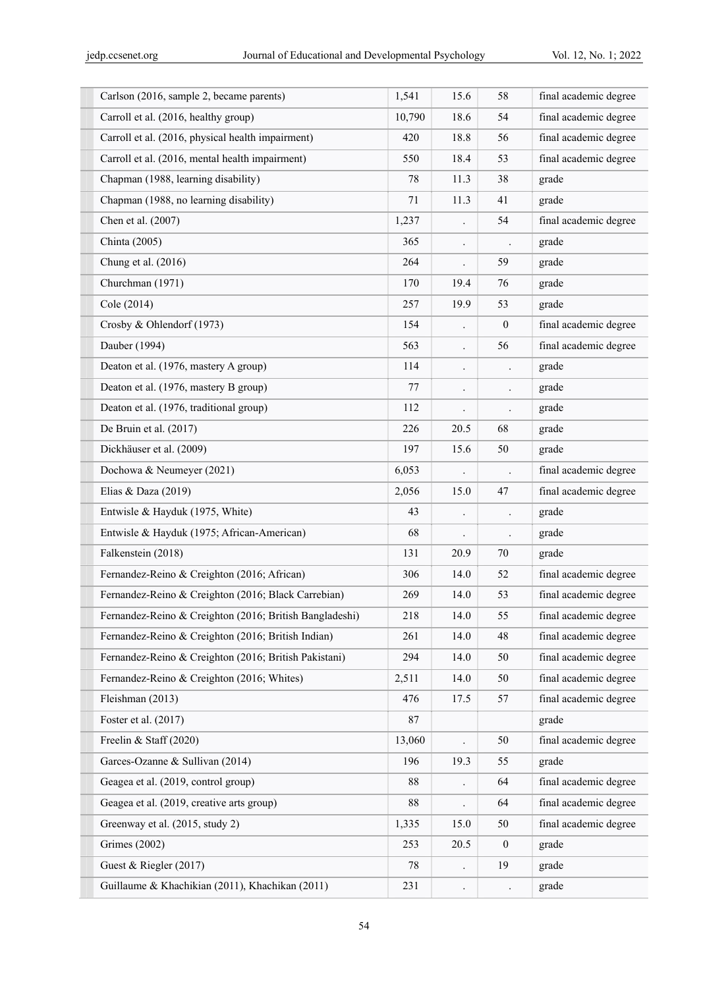| Carlson (2016, sample 2, became parents)                | 1,541  | 15.6                 | 58                   | final academic degree |
|---------------------------------------------------------|--------|----------------------|----------------------|-----------------------|
| Carroll et al. (2016, healthy group)                    | 10,790 | 18.6                 | 54                   | final academic degree |
| Carroll et al. (2016, physical health impairment)       | 420    | 18.8                 | 56                   | final academic degree |
| Carroll et al. (2016, mental health impairment)         | 550    | 18.4                 | 53                   | final academic degree |
| Chapman (1988, learning disability)                     | 78     | 11.3                 | 38                   | grade                 |
| Chapman (1988, no learning disability)                  | 71     | 11.3                 | 41                   | grade                 |
| Chen et al. (2007)                                      | 1,237  |                      | 54                   | final academic degree |
| Chinta (2005)                                           | 365    | $\ddot{\phantom{0}}$ | $\ddot{\phantom{0}}$ | grade                 |
| Chung et al. (2016)                                     | 264    | $\ddot{\phantom{0}}$ | 59                   | grade                 |
| Churchman (1971)                                        | 170    | 19.4                 | 76                   | grade                 |
| Cole (2014)                                             | 257    | 19.9                 | 53                   | grade                 |
| Crosby & Ohlendorf (1973)                               | 154    |                      | $\overline{0}$       | final academic degree |
| Dauber (1994)                                           | 563    |                      | 56                   | final academic degree |
| Deaton et al. (1976, mastery A group)                   | 114    | $\ddot{\phantom{0}}$ | $\ddot{\phantom{0}}$ | grade                 |
| Deaton et al. (1976, mastery B group)                   | 77     | $\bullet$            | $\cdot$              | grade                 |
| Deaton et al. (1976, traditional group)                 | 112    |                      |                      | grade                 |
| De Bruin et al. (2017)                                  | 226    | 20.5                 | 68                   | grade                 |
| Dickhäuser et al. (2009)                                | 197    | 15.6                 | 50                   | grade                 |
| Dochowa & Neumeyer (2021)                               | 6,053  |                      |                      | final academic degree |
| Elias & Daza $(2019)$                                   | 2,056  | 15.0                 | 47                   | final academic degree |
| Entwisle & Hayduk (1975, White)                         | 43     | $\ddot{\phantom{0}}$ | $\ddot{\phantom{0}}$ | grade                 |
| Entwisle & Hayduk (1975; African-American)              | 68     |                      |                      | grade                 |
| Falkenstein (2018)                                      | 131    | 20.9                 | 70                   | grade                 |
| Fernandez-Reino & Creighton (2016; African)             | 306    | 14.0                 | 52                   | final academic degree |
| Fernandez-Reino & Creighton (2016; Black Carrebian)     | 269    | 14.0                 | 53                   | final academic degree |
| Fernandez-Reino & Creighton (2016; British Bangladeshi) | 218    | 14.0                 | 55                   | final academic degree |
| Fernandez-Reino & Creighton (2016; British Indian)      | 261    | 14.0                 | 48                   | final academic degree |
| Fernandez-Reino & Creighton (2016; British Pakistani)   | 294    | 14.0                 | 50                   | final academic degree |
| Fernandez-Reino & Creighton (2016; Whites)              | 2,511  | 14.0                 | 50                   | final academic degree |
| Fleishman (2013)                                        | 476    | 17.5                 | 57                   | final academic degree |
| Foster et al. (2017)                                    | 87     |                      |                      | grade                 |
| Freelin & Staff (2020)                                  | 13,060 | $\ddot{\phantom{0}}$ | 50                   | final academic degree |
| Garces-Ozanne & Sullivan (2014)                         | 196    | 19.3                 | 55                   | grade                 |
| Geagea et al. (2019, control group)                     | 88     |                      | 64                   | final academic degree |
| Geagea et al. (2019, creative arts group)               | 88     |                      | 64                   | final academic degree |
| Greenway et al. (2015, study 2)                         | 1,335  | 15.0                 | 50                   | final academic degree |
| <b>Grimes</b> (2002)                                    | 253    | 20.5                 | $\boldsymbol{0}$     | grade                 |
| Guest & Riegler (2017)                                  | 78     |                      | 19                   | grade                 |
| Guillaume & Khachikian (2011), Khachikan (2011)         | 231    | $\ddot{\phantom{0}}$ | $\ddot{\phantom{0}}$ | grade                 |
|                                                         |        |                      |                      |                       |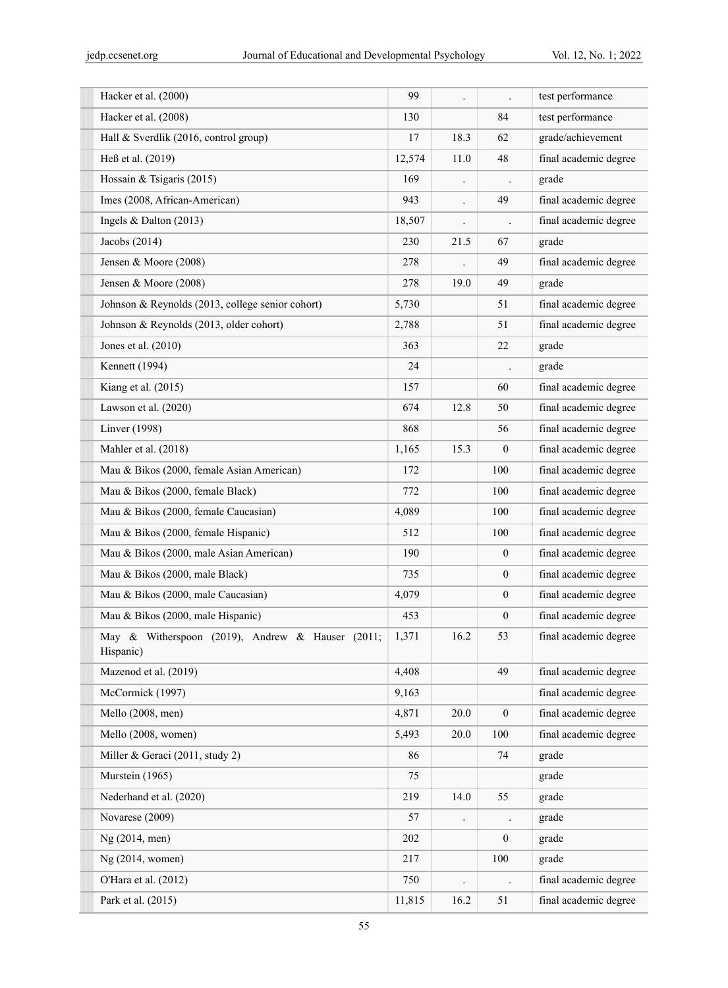| Hacker et al. (2000)                                          | 99     |                      |                  | test performance      |
|---------------------------------------------------------------|--------|----------------------|------------------|-----------------------|
| Hacker et al. (2008)                                          | 130    |                      | 84               | test performance      |
| Hall & Sverdlik (2016, control group)                         | 17     | 18.3                 | 62               | grade/achievement     |
| Heß et al. (2019)                                             | 12,574 | 11.0                 | 48               | final academic degree |
| Hossain & Tsigaris (2015)                                     | 169    |                      |                  | grade                 |
| Imes (2008, African-American)                                 | 943    |                      | 49               | final academic degree |
| Ingels & Dalton (2013)                                        | 18,507 |                      |                  | final academic degree |
| Jacobs (2014)                                                 | 230    | 21.5                 | 67               | grade                 |
| Jensen & Moore (2008)                                         | 278    |                      | 49               | final academic degree |
| Jensen & Moore (2008)                                         | 278    | 19.0                 | 49               | grade                 |
| Johnson & Reynolds (2013, college senior cohort)              | 5,730  |                      | 51               | final academic degree |
| Johnson & Reynolds (2013, older cohort)                       | 2,788  |                      | 51               | final academic degree |
| Jones et al. (2010)                                           | 363    |                      | 22               | grade                 |
| Kennett (1994)                                                | 24     |                      |                  | grade                 |
| Kiang et al. (2015)                                           | 157    |                      | 60               | final academic degree |
| Lawson et al. (2020)                                          | 674    | 12.8                 | 50               | final academic degree |
| Linver (1998)                                                 | 868    |                      | 56               | final academic degree |
| Mahler et al. (2018)                                          | 1,165  | 15.3                 | $\boldsymbol{0}$ | final academic degree |
| Mau & Bikos (2000, female Asian American)                     | 172    |                      | 100              | final academic degree |
| Mau & Bikos (2000, female Black)                              | 772    |                      | 100              | final academic degree |
| Mau & Bikos (2000, female Caucasian)                          | 4,089  |                      | 100              | final academic degree |
| Mau & Bikos (2000, female Hispanic)                           | 512    |                      | 100              | final academic degree |
| Mau & Bikos (2000, male Asian American)                       | 190    |                      | $\overline{0}$   | final academic degree |
| Mau & Bikos (2000, male Black)                                | 735    |                      | $\boldsymbol{0}$ | final academic degree |
| Mau & Bikos (2000, male Caucasian)                            | 4,079  |                      | $\overline{0}$   | final academic degree |
| Mau & Bikos (2000, male Hispanic)                             | 453    |                      | $\boldsymbol{0}$ | final academic degree |
| May & Witherspoon (2019), Andrew & Hauser (2011;<br>Hispanic) | 1,371  | 16.2                 | 53               | final academic degree |
| Mazenod et al. (2019)                                         | 4,408  |                      | 49               | final academic degree |
| McCormick (1997)                                              | 9,163  |                      |                  | final academic degree |
| Mello (2008, men)                                             | 4,871  | 20.0                 | $\boldsymbol{0}$ | final academic degree |
| Mello (2008, women)                                           | 5,493  | 20.0                 | 100              | final academic degree |
| Miller & Geraci (2011, study 2)                               | 86     |                      | 74               | grade                 |
| Murstein (1965)                                               | 75     |                      |                  | grade                 |
| Nederhand et al. (2020)                                       | 219    | 14.0                 | 55               | grade                 |
| Novarese (2009)                                               | 57     |                      |                  | grade                 |
| Ng (2014, men)                                                | 202    |                      | $\overline{0}$   | grade                 |
| Ng (2014, women)                                              | 217    |                      | 100              | grade                 |
| O'Hara et al. (2012)                                          | 750    | $\ddot{\phantom{0}}$ |                  | final academic degree |
| Park et al. (2015)                                            | 11,815 | 16.2                 | 51               | final academic degree |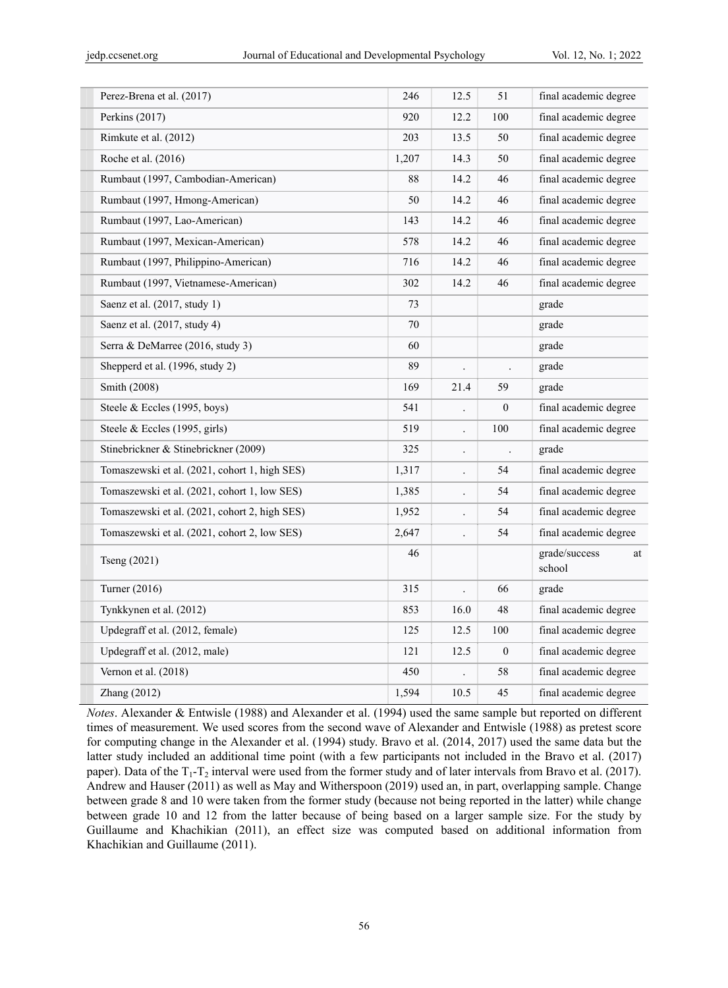| Perez-Brena et al. (2017)                     | 246   | 12.5                 | 51               | final academic degree         |
|-----------------------------------------------|-------|----------------------|------------------|-------------------------------|
| Perkins (2017)                                | 920   | 12.2                 | 100              | final academic degree         |
| Rimkute et al. (2012)                         | 203   | 13.5                 | 50               | final academic degree         |
| Roche et al. (2016)                           | 1,207 | 14.3                 | 50               | final academic degree         |
| Rumbaut (1997, Cambodian-American)            | 88    | 14.2                 | 46               | final academic degree         |
| Rumbaut (1997, Hmong-American)                | 50    | 14.2                 | 46               | final academic degree         |
| Rumbaut (1997, Lao-American)                  | 143   | 14.2                 | 46               | final academic degree         |
| Rumbaut (1997, Mexican-American)              | 578   | 14.2                 | 46               | final academic degree         |
| Rumbaut (1997, Philippino-American)           | 716   | 14.2                 | 46               | final academic degree         |
| Rumbaut (1997, Vietnamese-American)           | 302   | 14.2                 | 46               | final academic degree         |
| Saenz et al. (2017, study 1)                  | 73    |                      |                  | grade                         |
| Saenz et al. (2017, study 4)                  | 70    |                      |                  | grade                         |
| Serra & DeMarree (2016, study 3)              | 60    |                      |                  | grade                         |
| Shepperd et al. (1996, study 2)               | 89    | $\cdot$              |                  | grade                         |
| Smith (2008)                                  | 169   | 21.4                 | 59               | grade                         |
| Steele & Eccles (1995, boys)                  | 541   |                      | $\boldsymbol{0}$ | final academic degree         |
| Steele & Eccles (1995, girls)                 | 519   | $\ddot{\phantom{0}}$ | 100              | final academic degree         |
| Stinebrickner & Stinebrickner (2009)          | 325   | $\cdot$              |                  | grade                         |
| Tomaszewski et al. (2021, cohort 1, high SES) | 1,317 |                      | 54               | final academic degree         |
| Tomaszewski et al. (2021, cohort 1, low SES)  | 1,385 | $\cdot$              | 54               | final academic degree         |
| Tomaszewski et al. (2021, cohort 2, high SES) | 1,952 | $\ddot{\phantom{0}}$ | 54               | final academic degree         |
| Tomaszewski et al. (2021, cohort 2, low SES)  | 2,647 |                      | 54               | final academic degree         |
| Tseng (2021)                                  | 46    |                      |                  | grade/success<br>at<br>school |
| Turner (2016)                                 | 315   |                      | 66               | grade                         |
| Tynkkynen et al. (2012)                       | 853   | 16.0                 | 48               | final academic degree         |
| Updegraff et al. (2012, female)               | 125   | 12.5                 | 100              | final academic degree         |
| Updegraff et al. (2012, male)                 | 121   | 12.5                 | $\mathbf{0}$     | final academic degree         |
| Vernon et al. (2018)                          | 450   |                      | 58               | final academic degree         |
| Zhang (2012)                                  | 1,594 | 10.5                 | 45               | final academic degree         |

*Notes*. Alexander & Entwisle (1988) and Alexander et al. (1994) used the same sample but reported on different times of measurement. We used scores from the second wave of Alexander and Entwisle (1988) as pretest score for computing change in the Alexander et al. (1994) study. Bravo et al. (2014, 2017) used the same data but the latter study included an additional time point (with a few participants not included in the Bravo et al. (2017) paper). Data of the  $T_1$ - $T_2$  interval were used from the former study and of later intervals from Bravo et al. (2017). Andrew and Hauser (2011) as well as May and Witherspoon (2019) used an, in part, overlapping sample. Change between grade 8 and 10 were taken from the former study (because not being reported in the latter) while change between grade 10 and 12 from the latter because of being based on a larger sample size. For the study by Guillaume and Khachikian (2011), an effect size was computed based on additional information from Khachikian and Guillaume (2011).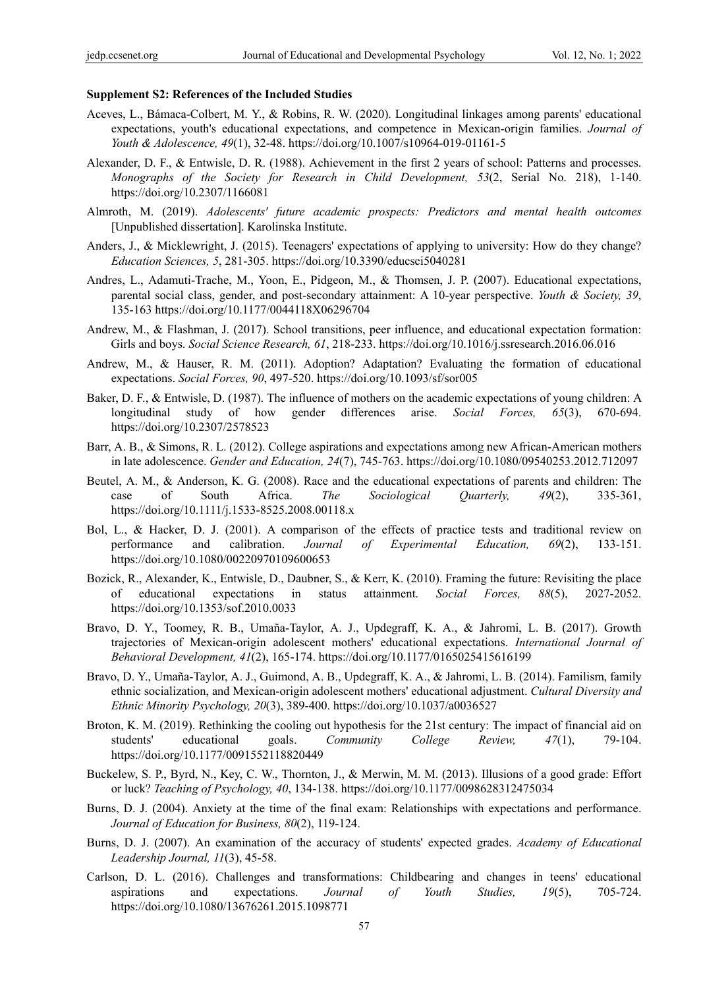#### **Supplement S2: References of the Included Studies**

- Aceves, L., Bámaca-Colbert, M. Y., & Robins, R. W. (2020). Longitudinal linkages among parents' educational expectations, youth's educational expectations, and competence in Mexican-origin families. *Journal of Youth & Adolescence, 49*(1), 32-48. https://doi.org/10.1007/s10964-019-01161-5
- Alexander, D. F., & Entwisle, D. R. (1988). Achievement in the first 2 years of school: Patterns and processes. *Monographs of the Society for Research in Child Development, 53*(2, Serial No. 218), 1-140. https://doi.org/10.2307/1166081
- Almroth, M. (2019). *Adolescents' future academic prospects: Predictors and mental health outcomes*  [Unpublished dissertation]. Karolinska Institute.
- Anders, J., & Micklewright, J. (2015). Teenagers' expectations of applying to university: How do they change? *Education Sciences, 5*, 281-305. https://doi.org/10.3390/educsci5040281
- Andres, L., Adamuti-Trache, M., Yoon, E., Pidgeon, M., & Thomsen, J. P. (2007). Educational expectations, parental social class, gender, and post-secondary attainment: A 10-year perspective. *Youth & Society, 39*, 135-163 https://doi.org/10.1177/0044118X06296704
- Andrew, M., & Flashman, J. (2017). School transitions, peer influence, and educational expectation formation: Girls and boys. *Social Science Research, 61*, 218-233. https://doi.org/10.1016/j.ssresearch.2016.06.016
- Andrew, M., & Hauser, R. M. (2011). Adoption? Adaptation? Evaluating the formation of educational expectations. *Social Forces, 90*, 497-520. https://doi.org/10.1093/sf/sor005
- Baker, D. F., & Entwisle, D. (1987). The influence of mothers on the academic expectations of young children: A longitudinal study of how gender differences arise. *Social Forces, 65*(3), 670-694. https://doi.org/10.2307/2578523
- Barr, A. B., & Simons, R. L. (2012). College aspirations and expectations among new African-American mothers in late adolescence. *Gender and Education, 24*(7), 745-763. https://doi.org/10.1080/09540253.2012.712097
- Beutel, A. M., & Anderson, K. G. (2008). Race and the educational expectations of parents and children: The case of South Africa. *The Sociological Quarterly, 49*(2), 335-361, https://doi.org/10.1111/j.1533-8525.2008.00118.x
- Bol, L., & Hacker, D. J. (2001). A comparison of the effects of practice tests and traditional review on performance and calibration. *Journal of Experimental Education, 69*(2), 133-151. https://doi.org/10.1080/00220970109600653
- Bozick, R., Alexander, K., Entwisle, D., Daubner, S., & Kerr, K. (2010). Framing the future: Revisiting the place of educational expectations in status attainment. *Social Forces, 88*(5), 2027-2052. https://doi.org/10.1353/sof.2010.0033
- Bravo, D. Y., Toomey, R. B., Umaña-Taylor, A. J., Updegraff, K. A., & Jahromi, L. B. (2017). Growth trajectories of Mexican-origin adolescent mothers' educational expectations. *International Journal of Behavioral Development, 41*(2), 165-174. https://doi.org/10.1177/0165025415616199
- Bravo, D. Y., Umaña-Taylor, A. J., Guimond, A. B., Updegraff, K. A., & Jahromi, L. B. (2014). Familism, family ethnic socialization, and Mexican-origin adolescent mothers' educational adjustment. *Cultural Diversity and Ethnic Minority Psychology, 20*(3), 389-400. https://doi.org/10.1037/a0036527
- Broton, K. M. (2019). Rethinking the cooling out hypothesis for the 21st century: The impact of financial aid on students' educational goals. *Community College Review, 47*(1), 79-104. https://doi.org/10.1177/0091552118820449
- Buckelew, S. P., Byrd, N., Key, C. W., Thornton, J., & Merwin, M. M. (2013). Illusions of a good grade: Effort or luck? *Teaching of Psychology, 40*, 134-138. https://doi.org/10.1177/0098628312475034
- Burns, D. J. (2004). Anxiety at the time of the final exam: Relationships with expectations and performance. *Journal of Education for Business, 80*(2), 119-124.
- Burns, D. J. (2007). An examination of the accuracy of students' expected grades. *Academy of Educational Leadership Journal, 11*(3), 45-58.
- Carlson, D. L. (2016). Challenges and transformations: Childbearing and changes in teens' educational aspirations and expectations. *Journal of Youth Studies, 19*(5), 705-724. https://doi.org/10.1080/13676261.2015.1098771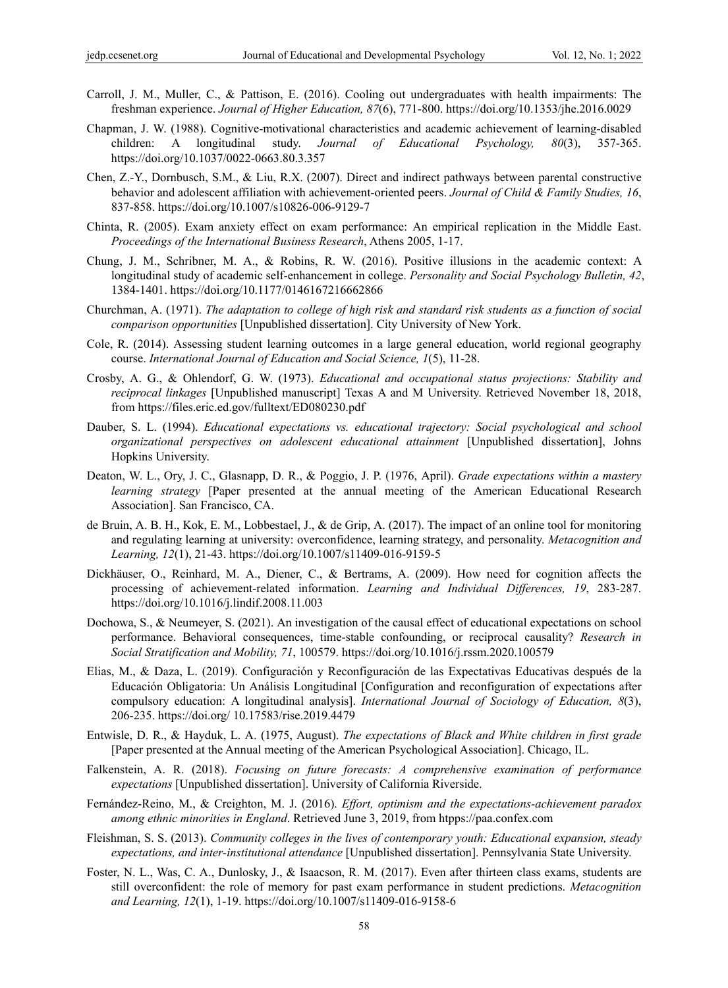- Carroll, J. M., Muller, C., & Pattison, E. (2016). Cooling out undergraduates with health impairments: The freshman experience. *Journal of Higher Education, 87*(6), 771-800. https://doi.org/10.1353/jhe.2016.0029
- Chapman, J. W. (1988). Cognitive-motivational characteristics and academic achievement of learning-disabled children: A longitudinal study. *Journal of Educational Psychology, 80*(3), 357-365. https://doi.org/10.1037/0022-0663.80.3.357
- Chen, Z.-Y., Dornbusch, S.M., & Liu, R.X. (2007). Direct and indirect pathways between parental constructive behavior and adolescent affiliation with achievement-oriented peers. *Journal of Child & Family Studies, 16*, 837-858. https://doi.org/10.1007/s10826-006-9129-7
- Chinta, R. (2005). Exam anxiety effect on exam performance: An empirical replication in the Middle East. *Proceedings of the International Business Research*, Athens 2005, 1-17.
- Chung, J. M., Schribner, M. A., & Robins, R. W. (2016). Positive illusions in the academic context: A longitudinal study of academic self-enhancement in college. *Personality and Social Psychology Bulletin, 42*, 1384-1401. https://doi.org/10.1177/0146167216662866
- Churchman, A. (1971). *The adaptation to college of high risk and standard risk students as a function of social comparison opportunities* [Unpublished dissertation]. City University of New York.
- Cole, R. (2014). Assessing student learning outcomes in a large general education, world regional geography course. *International Journal of Education and Social Science, 1*(5), 11-28.
- Crosby, A. G., & Ohlendorf, G. W. (1973). *Educational and occupational status projections: Stability and reciprocal linkages* [Unpublished manuscript] Texas A and M University. Retrieved November 18, 2018, from https://files.eric.ed.gov/fulltext/ED080230.pdf
- Dauber, S. L. (1994). *Educational expectations vs. educational trajectory: Social psychological and school organizational perspectives on adolescent educational attainment* [Unpublished dissertation], Johns Hopkins University.
- Deaton, W. L., Ory, J. C., Glasnapp, D. R., & Poggio, J. P. (1976, April). *Grade expectations within a mastery learning strategy* [Paper presented at the annual meeting of the American Educational Research Association]. San Francisco, CA.
- de Bruin, A. B. H., Kok, E. M., Lobbestael, J., & de Grip, A. (2017). The impact of an online tool for monitoring and regulating learning at university: overconfidence, learning strategy, and personality. *Metacognition and Learning, 12*(1), 21-43. https://doi.org/10.1007/s11409-016-9159-5
- Dickhäuser, O., Reinhard, M. A., Diener, C., & Bertrams, A. (2009). How need for cognition affects the processing of achievement-related information. *Learning and Individual Differences, 19*, 283-287. https://doi.org/10.1016/j.lindif.2008.11.003
- Dochowa, S., & Neumeyer, S. (2021). An investigation of the causal effect of educational expectations on school performance. Behavioral consequences, time-stable confounding, or reciprocal causality? *Research in Social Stratification and Mobility, 71*, 100579. https://doi.org/10.1016/j.rssm.2020.100579
- Elias, M., & Daza, L. (2019). Configuración y Reconfiguración de las Expectativas Educativas después de la Educación Obligatoria: Un Análisis Longitudinal [Configuration and reconfiguration of expectations after compulsory education: A longitudinal analysis]. *International Journal of Sociology of Education, 8*(3), 206-235. https://doi.org/ 10.17583/rise.2019.4479
- Entwisle, D. R., & Hayduk, L. A. (1975, August). *The expectations of Black and White children in first grade* [Paper presented at the Annual meeting of the American Psychological Association]. Chicago, IL.
- Falkenstein, A. R. (2018). *Focusing on future forecasts: A comprehensive examination of performance expectations* [Unpublished dissertation]. University of California Riverside.
- Fernández-Reino, M., & Creighton, M. J. (2016). *Effort, optimism and the expectations-achievement paradox among ethnic minorities in England*. Retrieved June 3, 2019, from htpps://paa.confex.com
- Fleishman, S. S. (2013). *Community colleges in the lives of contemporary youth: Educational expansion, steady expectations, and inter-institutional attendance* [Unpublished dissertation]. Pennsylvania State University.
- Foster, N. L., Was, C. A., Dunlosky, J., & Isaacson, R. M. (2017). Even after thirteen class exams, students are still overconfident: the role of memory for past exam performance in student predictions. *Metacognition and Learning, 12*(1), 1-19. https://doi.org/10.1007/s11409-016-9158-6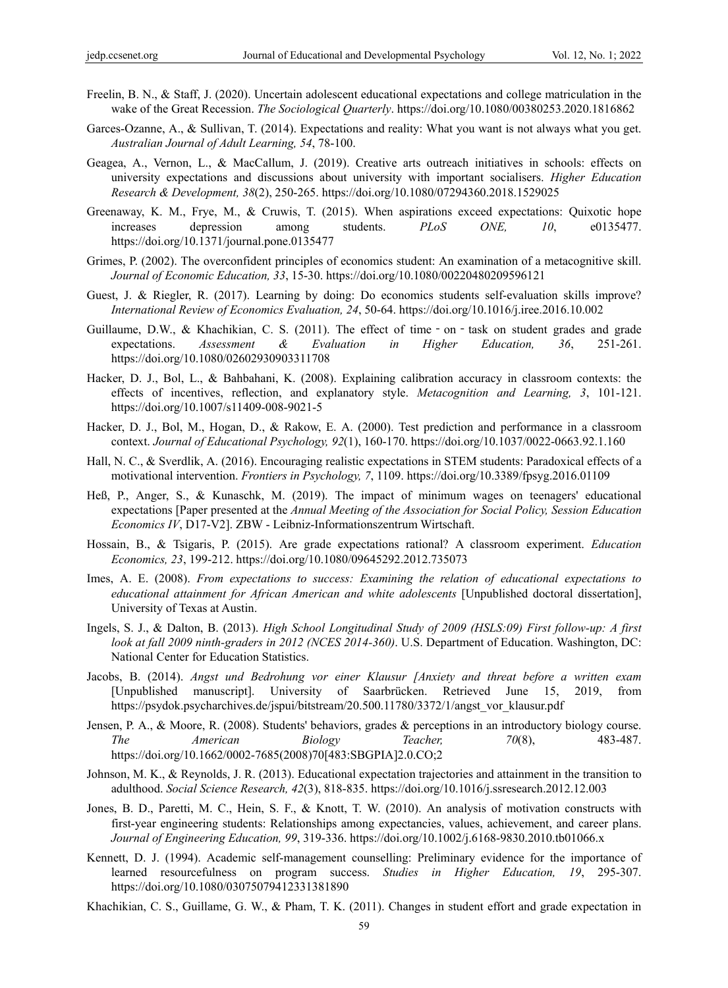- Freelin, B. N., & Staff, J. (2020). Uncertain adolescent educational expectations and college matriculation in the wake of the Great Recession. *The Sociological Quarterly*. https://doi.org/10.1080/00380253.2020.1816862
- Garces-Ozanne, A., & Sullivan, T. (2014). Expectations and reality: What you want is not always what you get. *Australian Journal of Adult Learning, 54*, 78-100.
- Geagea, A., Vernon, L., & MacCallum, J. (2019). Creative arts outreach initiatives in schools: effects on university expectations and discussions about university with important socialisers. *Higher Education Research & Development, 38*(2), 250-265. https://doi.org/10.1080/07294360.2018.1529025
- Greenaway, K. M., Frye, M., & Cruwis, T. (2015). When aspirations exceed expectations: Quixotic hope increases depression among students. *PLoS ONE, 10*, e0135477. https://doi.org/10.1371/journal.pone.0135477
- Grimes, P. (2002). The overconfident principles of economics student: An examination of a metacognitive skill. *Journal of Economic Education, 33*, 15-30. https://doi.org/10.1080/00220480209596121
- Guest, J. & Riegler, R. (2017). Learning by doing: Do economics students self-evaluation skills improve? *International Review of Economics Evaluation, 24*, 50-64. https://doi.org/10.1016/j.iree.2016.10.002
- Guillaume, D.W., & Khachikian, C. S. (2011). The effect of time on task on student grades and grade expectations. *Assessment & Evaluation in Higher Education, 36*, 251-261. https://doi.org/10.1080/02602930903311708
- Hacker, D. J., Bol, L., & Bahbahani, K. (2008). Explaining calibration accuracy in classroom contexts: the effects of incentives, reflection, and explanatory style. *Metacognition and Learning, 3*, 101-121. https://doi.org/10.1007/s11409-008-9021-5
- Hacker, D. J., Bol, M., Hogan, D., & Rakow, E. A. (2000). Test prediction and performance in a classroom context. *Journal of Educational Psychology, 92*(1), 160-170. https://doi.org/10.1037/0022-0663.92.1.160
- Hall, N. C., & Sverdlik, A. (2016). Encouraging realistic expectations in STEM students: Paradoxical effects of a motivational intervention. *Frontiers in Psychology, 7*, 1109. https://doi.org/10.3389/fpsyg.2016.01109
- Heß, P., Anger, S., & Kunaschk, M. (2019). The impact of minimum wages on teenagers' educational expectations [Paper presented at the *Annual Meeting of the Association for Social Policy, Session Education Economics IV*, D17-V2]. ZBW - Leibniz-Informationszentrum Wirtschaft.
- Hossain, B., & Tsigaris, P. (2015). Are grade expectations rational? A classroom experiment. *Education Economics, 23*, 199-212. https://doi.org/10.1080/09645292.2012.735073
- Imes, A. E. (2008). *From expectations to success: Examining the relation of educational expectations to educational attainment for African American and white adolescents* [Unpublished doctoral dissertation], University of Texas at Austin.
- Ingels, S. J., & Dalton, B. (2013). *High School Longitudinal Study of 2009 (HSLS:09) First follow-up: A first look at fall 2009 ninth-graders in 2012 (NCES 2014-360)*. U.S. Department of Education. Washington, DC: National Center for Education Statistics.
- Jacobs, B. (2014). *Angst und Bedrohung vor einer Klausur [Anxiety and threat before a written exam* [Unpublished manuscript]. University of Saarbrücken. Retrieved June 15, 2019, from https://psydok.psycharchives.de/jspui/bitstream/20.500.11780/3372/1/angst\_vor\_klausur.pdf
- Jensen, P. A., & Moore, R. (2008). Students' behaviors, grades & perceptions in an introductory biology course. *The American Biology Teacher, 70*(8), 483-487. https://doi.org/10.1662/0002-7685(2008)70[483:SBGPIA]2.0.CO;2
- Johnson, M. K., & Reynolds, J. R. (2013). Educational expectation trajectories and attainment in the transition to adulthood. *Social Science Research, 42*(3), 818-835. https://doi.org/10.1016/j.ssresearch.2012.12.003
- Jones, B. D., Paretti, M. C., Hein, S. F., & Knott, T. W. (2010). An analysis of motivation constructs with first-year engineering students: Relationships among expectancies, values, achievement, and career plans. *Journal of Engineering Education, 99*, 319-336. https://doi.org/10.1002/j.6168-9830.2010.tb01066.x
- Kennett, D. J. (1994). Academic self-management counselling: Preliminary evidence for the importance of learned resourcefulness on program success. *Studies in Higher Education, 19*, 295-307. https://doi.org/10.1080/03075079412331381890
- Khachikian, C. S., Guillame, G. W., & Pham, T. K. (2011). Changes in student effort and grade expectation in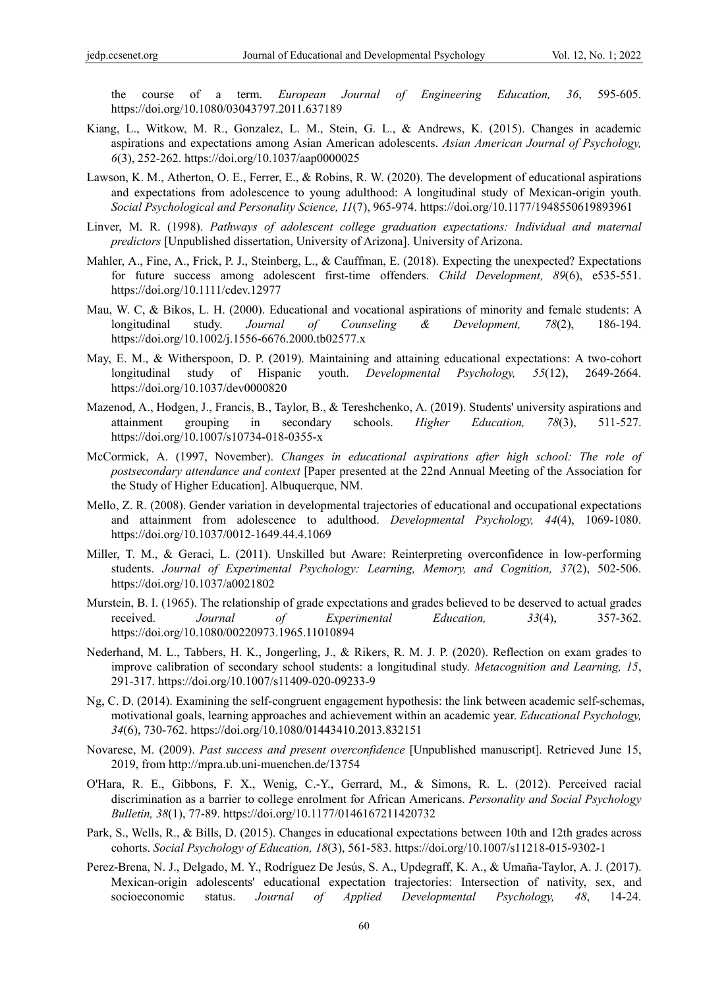course of a term. *European Journal of Engineering Education*, 36, 595-605. https://doi.org/10.1080/03043797.2011.637189

- Kiang, L., Witkow, M. R., Gonzalez, L. M., Stein, G. L., & Andrews, K. (2015). Changes in academic aspirations and expectations among Asian American adolescents. *Asian American Journal of Psychology, 6*(3), 252-262. https://doi.org/10.1037/aap0000025
- Lawson, K. M., Atherton, O. E., Ferrer, E., & Robins, R. W. (2020). The development of educational aspirations and expectations from adolescence to young adulthood: A longitudinal study of Mexican-origin youth. *Social Psychological and Personality Science, 11*(7), 965-974. https://doi.org/10.1177/1948550619893961
- Linver, M. R. (1998). *Pathways of adolescent college graduation expectations: Individual and maternal predictors* [Unpublished dissertation, University of Arizona]. University of Arizona.
- Mahler, A., Fine, A., Frick, P. J., Steinberg, L., & Cauffman, E. (2018). Expecting the unexpected? Expectations for future success among adolescent first-time offenders. *Child Development, 89*(6), e535-551. https://doi.org/10.1111/cdev.12977
- Mau, W. C, & Bikos, L. H. (2000). Educational and vocational aspirations of minority and female students: A longitudinal study. *Journal of Counseling & Development, 78*(2), 186-194. https://doi.org/10.1002/j.1556-6676.2000.tb02577.x
- May, E. M., & Witherspoon, D. P. (2019). Maintaining and attaining educational expectations: A two-cohort longitudinal study of Hispanic youth. *Developmental Psychology, 55*(12), 2649-2664. https://doi.org/10.1037/dev0000820
- Mazenod, A., Hodgen, J., Francis, B., Taylor, B., & Tereshchenko, A. (2019). Students' university aspirations and attainment grouping in secondary schools. *Higher Education, 78*(3), 511-527. https://doi.org/10.1007/s10734-018-0355-x
- McCormick, A. (1997, November). *Changes in educational aspirations after high school: The role of postsecondary attendance and context* [Paper presented at the 22nd Annual Meeting of the Association for the Study of Higher Education]. Albuquerque, NM.
- Mello, Z. R. (2008). Gender variation in developmental trajectories of educational and occupational expectations and attainment from adolescence to adulthood. *Developmental Psychology, 44*(4), 1069-1080. https://doi.org/10.1037/0012-1649.44.4.1069
- Miller, T. M., & Geraci, L. (2011). Unskilled but Aware: Reinterpreting overconfidence in low-performing students. *Journal of Experimental Psychology: Learning, Memory, and Cognition, 37*(2), 502-506. https://doi.org/10.1037/a0021802
- Murstein, B. I. (1965). The relationship of grade expectations and grades believed to be deserved to actual grades received. *Journal of Experimental Education, 33*(4), 357-362. https://doi.org/10.1080/00220973.1965.11010894
- Nederhand, M. L., Tabbers, H. K., Jongerling, J., & Rikers, R. M. J. P. (2020). Reflection on exam grades to improve calibration of secondary school students: a longitudinal study. *Metacognition and Learning, 15*, 291-317. https://doi.org/10.1007/s11409-020-09233-9
- Ng, C. D. (2014). Examining the self-congruent engagement hypothesis: the link between academic self-schemas, motivational goals, learning approaches and achievement within an academic year. *Educational Psychology, 34*(6), 730-762. https://doi.org/10.1080/01443410.2013.832151
- Novarese, M. (2009). *Past success and present overconfidence* [Unpublished manuscript]. Retrieved June 15, 2019, from http://mpra.ub.uni-muenchen.de/13754
- O'Hara, R. E., Gibbons, F. X., Wenig, C.-Y., Gerrard, M., & Simons, R. L. (2012). Perceived racial discrimination as a barrier to college enrolment for African Americans. *Personality and Social Psychology Bulletin, 38*(1), 77-89. https://doi.org/10.1177/0146167211420732
- Park, S., Wells, R., & Bills, D. (2015). Changes in educational expectations between 10th and 12th grades across cohorts. *Social Psychology of Education, 18*(3), 561-583. https://doi.org/10.1007/s11218-015-9302-1
- Perez-Brena, N. J., Delgado, M. Y., Rodríguez De Jesús, S. A., Updegraff, K. A., & Umaña-Taylor, A. J. (2017). Mexican-origin adolescents' educational expectation trajectories: Intersection of nativity, sex, and socioeconomic status. *Journal of Applied Developmental Psychology, 48*, 14-24.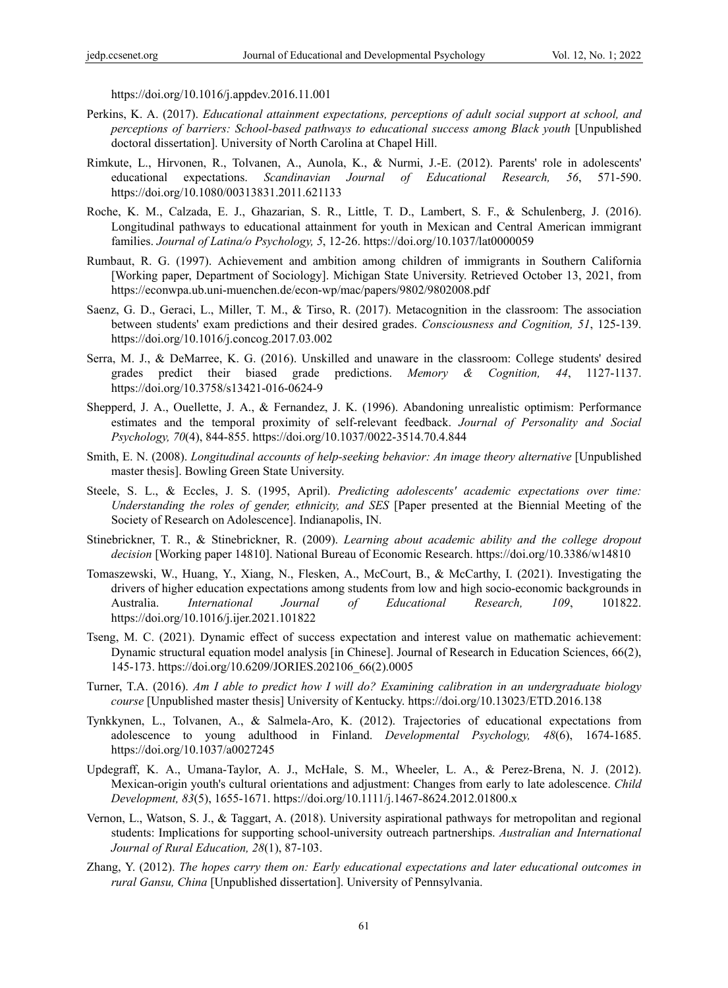https://doi.org/10.1016/j.appdev.2016.11.001

- Perkins, K. A. (2017). *Educational attainment expectations, perceptions of adult social support at school, and perceptions of barriers: School-based pathways to educational success among Black youth* [Unpublished doctoral dissertation]. University of North Carolina at Chapel Hill.
- Rimkute, L., Hirvonen, R., Tolvanen, A., Aunola, K., & Nurmi, J.-E. (2012). Parents' role in adolescents' educational expectations. *Scandinavian Journal of Educational Research, 56*, 571-590. https://doi.org/10.1080/00313831.2011.621133
- Roche, K. M., Calzada, E. J., Ghazarian, S. R., Little, T. D., Lambert, S. F., & Schulenberg, J. (2016). Longitudinal pathways to educational attainment for youth in Mexican and Central American immigrant families. *Journal of Latina/o Psychology, 5*, 12-26. https://doi.org/10.1037/lat0000059
- Rumbaut, R. G. (1997). Achievement and ambition among children of immigrants in Southern California [Working paper, Department of Sociology]. Michigan State University. Retrieved October 13, 2021, from https://econwpa.ub.uni-muenchen.de/econ-wp/mac/papers/9802/9802008.pdf
- Saenz, G. D., Geraci, L., Miller, T. M., & Tirso, R. (2017). Metacognition in the classroom: The association between students' exam predictions and their desired grades. *Consciousness and Cognition, 51*, 125-139. https://doi.org/10.1016/j.concog.2017.03.002
- Serra, M. J., & DeMarree, K. G. (2016). Unskilled and unaware in the classroom: College students' desired grades predict their biased grade predictions. *Memory & Cognition, 44*, 1127-1137. https://doi.org/10.3758/s13421-016-0624-9
- Shepperd, J. A., Ouellette, J. A., & Fernandez, J. K. (1996). Abandoning unrealistic optimism: Performance estimates and the temporal proximity of self-relevant feedback. *Journal of Personality and Social Psychology, 70*(4), 844-855. https://doi.org/10.1037/0022-3514.70.4.844
- Smith, E. N. (2008). *Longitudinal accounts of help-seeking behavior: An image theory alternative* [Unpublished master thesis]. Bowling Green State University.
- Steele, S. L., & Eccles, J. S. (1995, April). *Predicting adolescents' academic expectations over time: Understanding the roles of gender, ethnicity, and SES* [Paper presented at the Biennial Meeting of the Society of Research on Adolescence]. Indianapolis, IN.
- Stinebrickner, T. R., & Stinebrickner, R. (2009). *Learning about academic ability and the college dropout decision* [Working paper 14810]. National Bureau of Economic Research. https://doi.org/10.3386/w14810
- Tomaszewski, W., Huang, Y., Xiang, N., Flesken, A., McCourt, B., & McCarthy, I. (2021). Investigating the drivers of higher education expectations among students from low and high socio-economic backgrounds in Australia. *International Journal of Educational Research, 109*, 101822. https://doi.org/10.1016/j.ijer.2021.101822
- Tseng, M. C. (2021). Dynamic effect of success expectation and interest value on mathematic achievement: Dynamic structural equation model analysis [in Chinese]. Journal of Research in Education Sciences, 66(2), 145-173. https://doi.org/10.6209/JORIES.202106\_66(2).0005
- Turner, T.A. (2016). *Am I able to predict how I will do? Examining calibration in an undergraduate biology course* [Unpublished master thesis] University of Kentucky. https://doi.org/10.13023/ETD.2016.138
- Tynkkynen, L., Tolvanen, A., & Salmela-Aro, K. (2012). Trajectories of educational expectations from adolescence to young adulthood in Finland. *Developmental Psychology, 48*(6), 1674-1685. https://doi.org/10.1037/a0027245
- Updegraff, K. A., Umana-Taylor, A. J., McHale, S. M., Wheeler, L. A., & Perez-Brena, N. J. (2012). Mexican-origin youth's cultural orientations and adjustment: Changes from early to late adolescence. *Child Development, 83*(5), 1655-1671. https://doi.org/10.1111/j.1467-8624.2012.01800.x
- Vernon, L., Watson, S. J., & Taggart, A. (2018). University aspirational pathways for metropolitan and regional students: Implications for supporting school-university outreach partnerships. *Australian and International Journal of Rural Education, 28*(1), 87-103.
- Zhang, Y. (2012). *The hopes carry them on: Early educational expectations and later educational outcomes in rural Gansu, China* [Unpublished dissertation]. University of Pennsylvania.